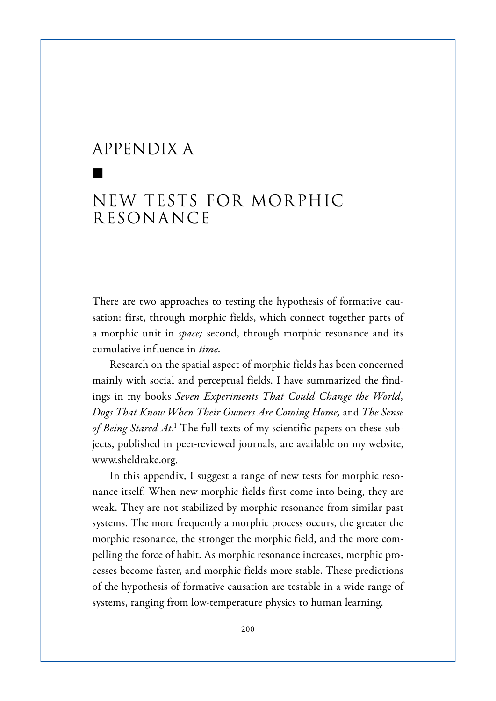# APPENDIX A J NEW TESTS FOR MORPHIC R ESONANCE

There are two approaches to testing the hypothesis of formative causation: first, through morphic fields, which connect together parts of a morphic unit in *space;* second, through morphic resonance and its cumulative influence in *time*.

Research on the spatial aspect of morphic fields has been concerned mainly with social and perceptual fields. I have summarized the findings in my books *Seven Experiments That Could Change the World, Dogs That Know When Their Owners Are Coming Home,* and *The Sense of Being Stared At*. 1 The full texts of my scientific papers on these subjects, published in peer-reviewed journals, are available on my website, www.sheldrake.org.

In this appendix, I suggest a range of new tests for morphic resonance itself. When new morphic fields first come into being, they are weak. They are not stabilized by morphic resonance from similar past systems. The more frequently a morphic process occurs, the greater the morphic resonance, the stronger the morphic field, and the more compelling the force of habit. As morphic resonance increases, morphic processes become faster, and morphic fields more stable. These predictions of the hypothesis of formative causation are testable in a wide range of systems, ranging from low-temperature physics to human learning.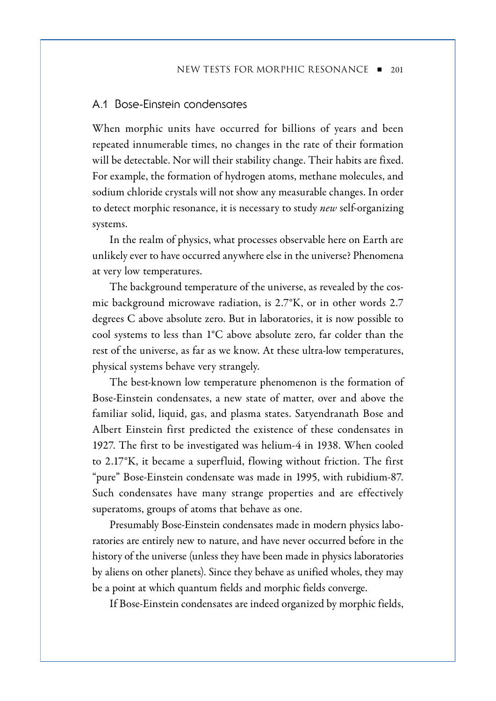# A.1 Bose-Einstein condensates

When morphic units have occurred for billions of years and been repeated innumerable times, no changes in the rate of their formation will be detectable. Nor will their stability change. Their habits are fixed. For example, the formation of hydrogen atoms, methane molecules, and sodium chloride crystals will not show any measurable changes. In order to detect morphic resonance, it is necessary to study *new* self-organizing systems.

In the realm of physics, what processes observable here on Earth are unlikely ever to have occurred anywhere else in the universe? Phenomena at very low temperatures.

The background temperature of the universe, as revealed by the cosmic background microwave radiation, is 2.7°K, or in other words 2.7 degrees C above absolute zero. But in laboratories, it is now possible to cool systems to less than 1°C above absolute zero, far colder than the rest of the universe, as far as we know. At these ultra-low temperatures, physical systems behave very strangely.

The best-known low temperature phenomenon is the formation of Bose-Einstein condensates, a new state of matter, over and above the familiar solid, liquid, gas, and plasma states. Satyendranath Bose and Albert Einstein first predicted the existence of these condensates in 1927. The first to be investigated was helium-4 in 1938. When cooled to 2.17°K, it became a superfluid, flowing without friction. The first "pure" Bose-Einstein condensate was made in 1995, with rubidium-87. Such condensates have many strange properties and are effectively superatoms, groups of atoms that behave as one.

Presumably Bose-Einstein condensates made in modern physics laboratories are entirely new to nature, and have never occurred before in the history of the universe (unless they have been made in physics laboratories by aliens on other planets). Since they behave as unified wholes, they may be a point at which quantum fields and morphic fields converge.

If Bose-Einstein condensates are indeed organized by morphic fields,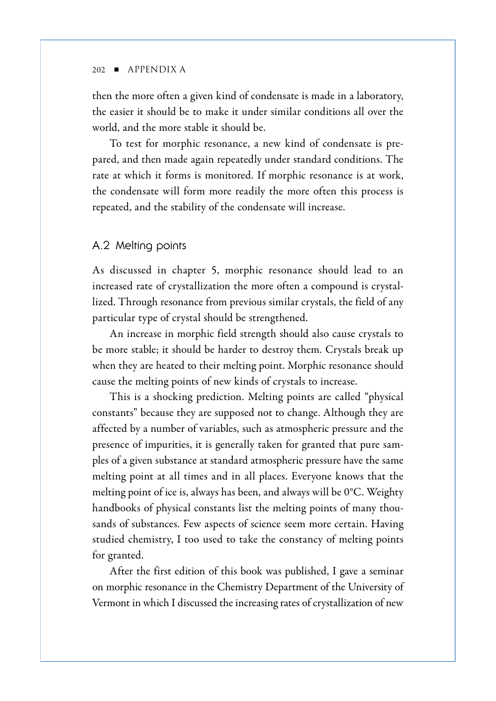then the more often a given kind of condensate is made in a laboratory, the easier it should be to make it under similar conditions all over the world, and the more stable it should be.

To test for morphic resonance, a new kind of condensate is prepared, and then made again repeatedly under standard conditions. The rate at which it forms is monitored. If morphic resonance is at work, the condensate will form more readily the more often this process is repeated, and the stability of the condensate will increase.

# A.2 Melting points

As discussed in chapter 5, morphic resonance should lead to an increased rate of crystallization the more often a compound is crystallized. Through resonance from previous similar crystals, the field of any particular type of crystal should be strengthened.

An increase in morphic field strength should also cause crystals to be more stable; it should be harder to destroy them. Crystals break up when they are heated to their melting point. Morphic resonance should cause the melting points of new kinds of crystals to increase.

This is a shocking prediction. Melting points are called "physical constants" because they are supposed not to change. Although they are affected by a number of variables, such as atmospheric pressure and the presence of impurities, it is generally taken for granted that pure samples of a given substance at standard atmospheric pressure have the same melting point at all times and in all places. Everyone knows that the melting point of ice is, always has been, and always will be 0°C. Weighty handbooks of physical constants list the melting points of many thousands of substances. Few aspects of science seem more certain. Having studied chemistry, I too used to take the constancy of melting points for granted.

After the first edition of this book was published, I gave a seminar on morphic resonance in the Chemistry Department of the University of Vermont in which I discussed the increasing rates of crystallization of new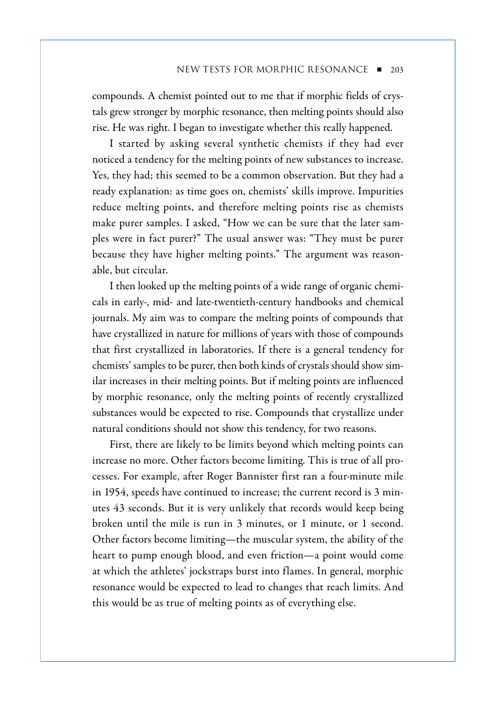compounds. A chemist pointed out to me that if morphic fields of crystals grew stronger by morphic resonance, then melting points should also rise. He was right. I began to investigate whether this really happened.

I started by asking several synthetic chemists if they had ever noticed a tendency for the melting points of new substances to increase. Yes, they had; this seemed to be a common observation. But they had a ready explanation: as time goes on, chemists' skills improve. Impurities reduce melting points, and therefore melting points rise as chemists make purer samples. I asked, "How we can be sure that the later samples were in fact purer?" The usual answer was: "They must be purer because they have higher melting points." The argument was reasonable, but circular.

I then looked up the melting points of a wide range of organic chemicals in early-, mid- and late-twentieth-century handbooks and chemical journals. My aim was to compare the melting points of compounds that have crystallized in nature for millions of years with those of compounds that first crystallized in laboratories. If there is a general tendency for chemists' samples to be purer, then both kinds of crystals should show similar increases in their melting points. But if melting points are influenced by morphic resonance, only the melting points of recently crystallized substances would be expected to rise. Compounds that crystallize under natural conditions should not show this tendency, for two reasons.

First, there are likely to be limits beyond which melting points can increase no more. Other factors become limiting. This is true of all processes. For example, after Roger Bannister first ran a four-minute mile in 1954, speeds have continued to increase; the current record is 3 minutes 43 seconds. But it is very unlikely that records would keep being broken until the mile is run in 3 minutes, or 1 minute, or 1 second. Other factors become limiting—the muscular system, the ability of the heart to pump enough blood, and even friction—a point would come at which the athletes' jockstraps burst into flames. In general, morphic resonance would be expected to lead to changes that reach limits. And this would be as true of melting points as of everything else.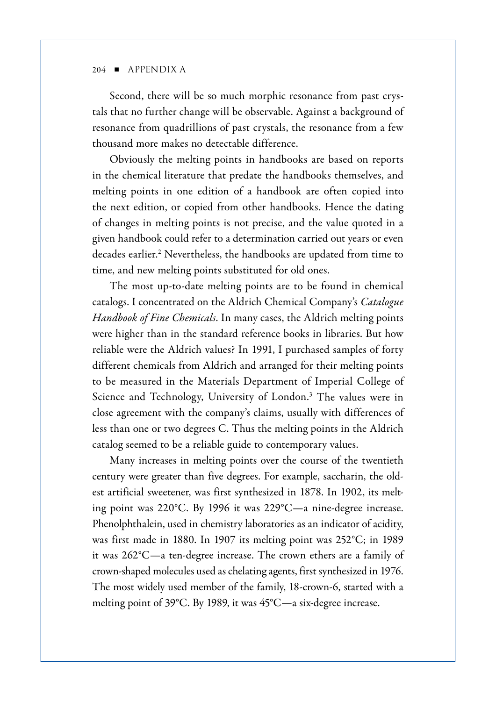Second, there will be so much morphic resonance from past crystals that no further change will be observable. Against a background of resonance from quadrillions of past crystals, the resonance from a few thousand more makes no detectable difference.

Obviously the melting points in handbooks are based on reports in the chemical literature that predate the handbooks themselves, and melting points in one edition of a handbook are often copied into the next edition, or copied from other handbooks. Hence the dating of changes in melting points is not precise, and the value quoted in a given handbook could refer to a determination carried out years or even decades earlier.<sup>2</sup> Nevertheless, the handbooks are updated from time to time, and new melting points substituted for old ones.

The most up-to-date melting points are to be found in chemical catalogs. I concentrated on the Aldrich Chemical Company's *Catalogue Handbook of Fine Chemicals*. In many cases, the Aldrich melting points were higher than in the standard reference books in libraries. But how reliable were the Aldrich values? In 1991, I purchased samples of forty different chemicals from Aldrich and arranged for their melting points to be measured in the Materials Department of Imperial College of Science and Technology, University of London.<sup>3</sup> The values were in close agreement with the company's claims, usually with differences of less than one or two degrees C. Thus the melting points in the Aldrich catalog seemed to be a reliable guide to contemporary values.

Many increases in melting points over the course of the twentieth century were greater than five degrees. For example, saccharin, the oldest artificial sweetener, was first synthesized in 1878. In 1902, its melting point was 220°C. By 1996 it was 229°C—a nine-degree increase. Phenolphthalein, used in chemistry laboratories as an indicator of acidity, was first made in 1880. In 1907 its melting point was 252°C; in 1989 it was 262°C—a ten-degree increase. The crown ethers are a family of crown-shaped molecules used as chelating agents, first synthesized in 1976. The most widely used member of the family, 18-crown-6, started with a melting point of 39°C. By 1989, it was 45°C—a six-degree increase.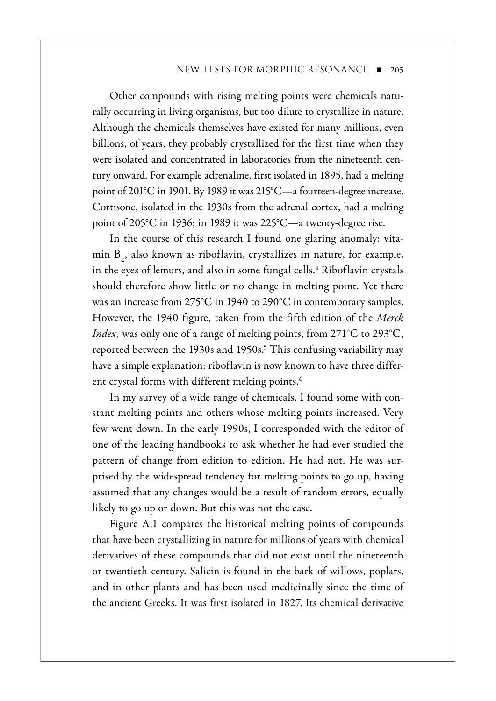Other compounds with rising melting points were chemicals naturally occurring in living organisms, but too dilute to crystallize in nature. Although the chemicals themselves have existed for many millions, even billions, of years, they probably crystallized for the first time when they were isolated and concentrated in laboratories from the nineteenth century onward. For example adrenaline, first isolated in 1895, had a melting point of 201°C in 1901. By 1989 it was 215°C—a fourteen-degree increase. Cortisone, isolated in the 1930s from the adrenal cortex, had a melting point of 205°C in 1936; in 1989 it was 225°C—a twenty-degree rise.

In the course of this research I found one glaring anomaly: vitamin  $B_2$ , also known as riboflavin, crystallizes in nature, for example, in the eyes of lemurs, and also in some fungal cells.4 Riboflavin crystals should therefore show little or no change in melting point. Yet there was an increase from 275°C in 1940 to 290°C in contemporary samples. However, the 1940 figure, taken from the fifth edition of the *Merck Index*, was only one of a range of melting points, from 271°C to 293°C, reported between the 1930s and 1950s.<sup>5</sup> This confusing variability may have a simple explanation: riboflavin is now known to have three different crystal forms with different melting points.<sup>6</sup>

In my survey of a wide range of chemicals, I found some with constant melting points and others whose melting points increased. Very few went down. In the early 1990s, I corresponded with the editor of one of the leading handbooks to ask whether he had ever studied the pattern of change from edition to edition. He had not. He was surprised by the widespread tendency for melting points to go up, having assumed that any changes would be a result of random errors, equally likely to go up or down. But this was not the case.

Figure A.1 compares the historical melting points of compounds that have been crystallizing in nature for millions of years with chemical derivatives of these compounds that did not exist until the nineteenth or twentieth century. Salicin is found in the bark of willows, poplars, and in other plants and has been used medicinally since the time of the ancient Greeks. It was first isolated in 1827. Its chemical derivative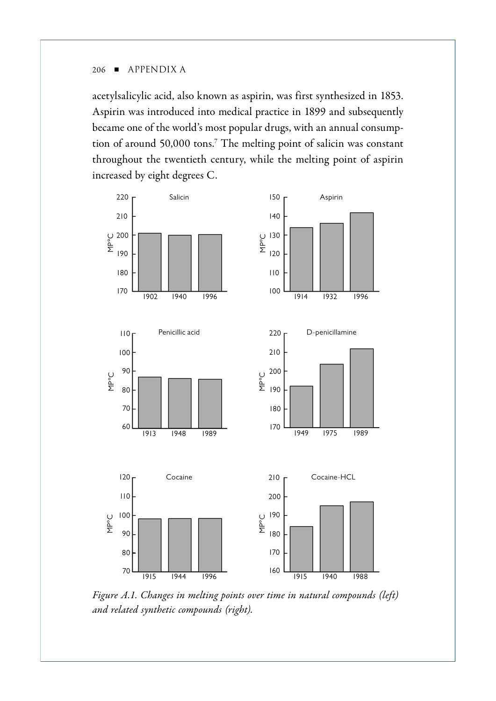# 206  $\blacksquare$  APPENDIX A

acetylsalicylic acid, also known as aspirin, was first synthesized in 1853. Aspirin was introduced into medical practice in 1899 and subsequently became one of the world's most popular drugs, with an annual consumption of around 50,000 tons.7 The melting point of salicin was constant throughout the twentieth century, while the melting point of aspirin increased by eight degrees C.



*Figure A.1. Changes in melting points over time in natural compounds (left) and related synthetic compounds (right).*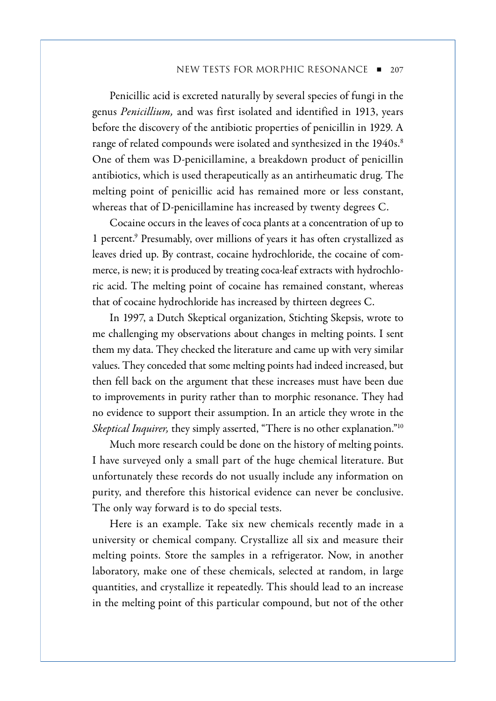Penicillic acid is excreted naturally by several species of fungi in the genus *Penicillium,* and was first isolated and identified in 1913, years before the discovery of the antibiotic properties of penicillin in 1929. A range of related compounds were isolated and synthesized in the 1940s.<sup>8</sup> One of them was D-penicillamine, a breakdown product of penicillin antibiotics, which is used therapeutically as an antirheumatic drug. The melting point of penicillic acid has remained more or less constant, whereas that of D-penicillamine has increased by twenty degrees C.

Cocaine occurs in the leaves of coca plants at a concentration of up to 1 percent.9 Presumably, over millions of years it has often crystallized as leaves dried up. By contrast, cocaine hydrochloride, the cocaine of commerce, is new; it is produced by treating coca-leaf extracts with hydrochloric acid. The melting point of cocaine has remained constant, whereas that of cocaine hydrochloride has increased by thirteen degrees C.

In 1997, a Dutch Skeptical organization, Stichting Skepsis, wrote to me challenging my observations about changes in melting points. I sent them my data. They checked the literature and came up with very similar values. They conceded that some melting points had indeed increased, but then fell back on the argument that these increases must have been due to improvements in purity rather than to morphic resonance. They had no evidence to support their assumption. In an article they wrote in the *Skeptical Inquirer,* they simply asserted, "There is no other explanation."10

Much more research could be done on the history of melting points. I have surveyed only a small part of the huge chemical literature. But unfortunately these records do not usually include any information on purity, and therefore this historical evidence can never be conclusive. The only way forward is to do special tests.

Here is an example. Take six new chemicals recently made in a university or chemical company. Crystallize all six and measure their melting points. Store the samples in a refrigerator. Now, in another laboratory, make one of these chemicals, selected at random, in large quantities, and crystallize it repeatedly. This should lead to an increase in the melting point of this particular compound, but not of the other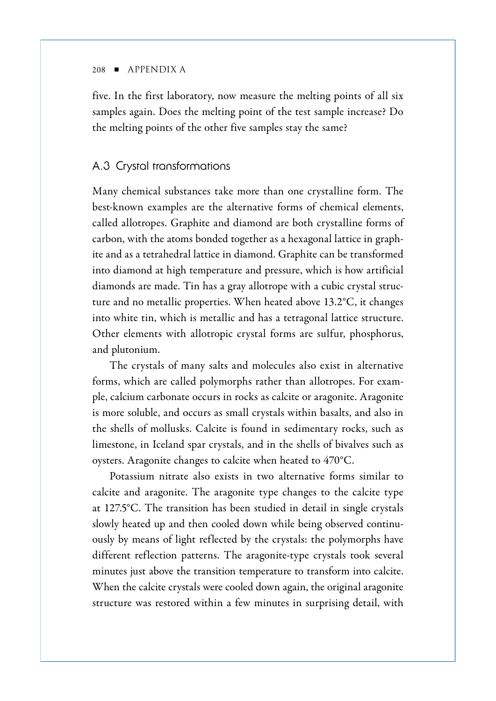five. In the first laboratory, now measure the melting points of all six samples again. Does the melting point of the test sample increase? Do the melting points of the other five samples stay the same?

# A.3 Crystal transformations

Many chemical substances take more than one crystalline form. The best-known examples are the alternative forms of chemical elements, called allotropes. Graphite and diamond are both crystalline forms of carbon, with the atoms bonded together as a hexagonal lattice in graphite and as a tetrahedral lattice in diamond. Graphite can be transformed into diamond at high temperature and pressure, which is how artificial diamonds are made. Tin has a gray allotrope with a cubic crystal structure and no metallic properties. When heated above 13.2°C, it changes into white tin, which is metallic and has a tetragonal lattice structure. Other elements with allotropic crystal forms are sulfur, phosphorus, and plutonium.

The crystals of many salts and molecules also exist in alternative forms, which are called polymorphs rather than allotropes. For example, calcium carbonate occurs in rocks as calcite or aragonite. Aragonite is more soluble, and occurs as small crystals within basalts, and also in the shells of mollusks. Calcite is found in sedimentary rocks, such as limestone, in Iceland spar crystals, and in the shells of bivalves such as oysters. Aragonite changes to calcite when heated to 470°C.

Potassium nitrate also exists in two alternative forms similar to calcite and aragonite. The aragonite type changes to the calcite type at 127.5°C. The transition has been studied in detail in single crystals slowly heated up and then cooled down while being observed continuously by means of light reflected by the crystals: the polymorphs have different reflection patterns. The aragonite-type crystals took several minutes just above the transition temperature to transform into calcite. When the calcite crystals were cooled down again, the original aragonite structure was restored within a few minutes in surprising detail, with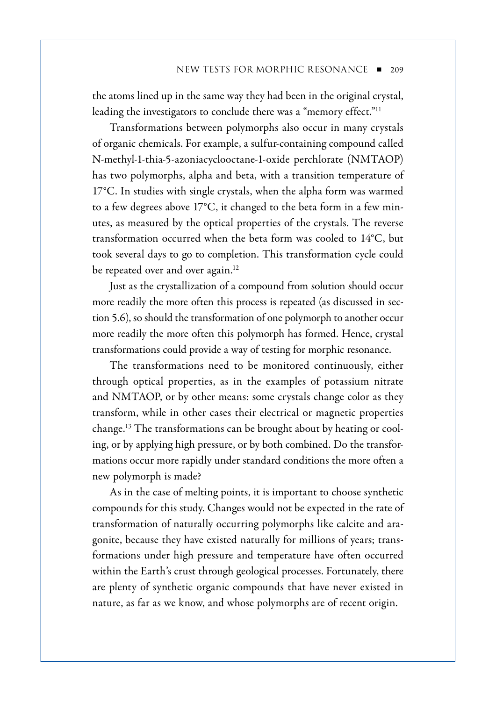the atoms lined up in the same way they had been in the original crystal, leading the investigators to conclude there was a "memory effect."<sup>11</sup>

Transformations between polymorphs also occur in many crystals of organic chemicals. For example, a sulfur-containing compound called N-methyl-1-thia-5-azoniacyclooctane-1-oxide perchlorate (NMTAOP) has two polymorphs, alpha and beta, with a transition temperature of 17°C. In studies with single crystals, when the alpha form was warmed to a few degrees above 17°C, it changed to the beta form in a few minutes, as measured by the optical properties of the crystals. The reverse transformation occurred when the beta form was cooled to 14°C, but took several days to go to completion. This transformation cycle could be repeated over and over again.<sup>12</sup>

Just as the crystallization of a compound from solution should occur more readily the more often this process is repeated (as discussed in section 5.6), so should the transformation of one polymorph to another occur more readily the more often this polymorph has formed. Hence, crystal transformations could provide a way of testing for morphic resonance.

The transformations need to be monitored continuously, either through optical properties, as in the examples of potassium nitrate and NMTAOP, or by other means: some crystals change color as they transform, while in other cases their electrical or magnetic properties change.13 The transformations can be brought about by heating or cooling, or by applying high pressure, or by both combined. Do the transformations occur more rapidly under standard conditions the more often a new polymorph is made?

As in the case of melting points, it is important to choose synthetic compounds for this study. Changes would not be expected in the rate of transformation of naturally occurring polymorphs like calcite and aragonite, because they have existed naturally for millions of years; transformations under high pressure and temperature have often occurred within the Earth's crust through geological processes. Fortunately, there are plenty of synthetic organic compounds that have never existed in nature, as far as we know, and whose polymorphs are of recent origin.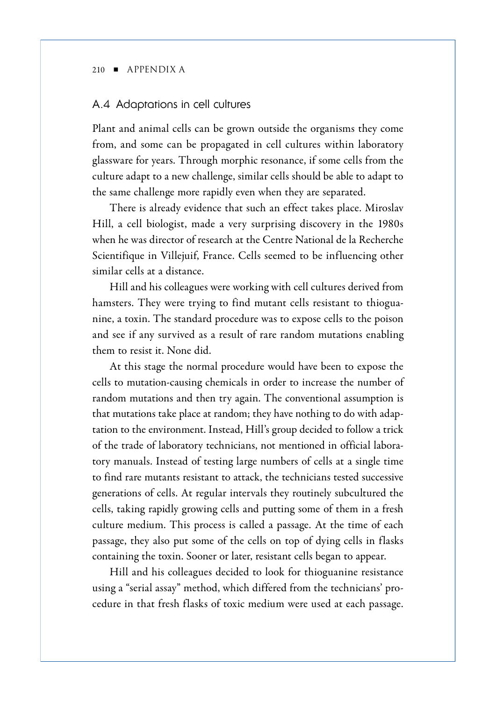## A.4 Adaptations in cell cultures

Plant and animal cells can be grown outside the organisms they come from, and some can be propagated in cell cultures within laboratory glassware for years. Through morphic resonance, if some cells from the culture adapt to a new challenge, similar cells should be able to adapt to the same challenge more rapidly even when they are separated.

There is already evidence that such an effect takes place. Miroslav Hill, a cell biologist, made a very surprising discovery in the 1980s when he was director of research at the Centre National de la Recherche Scientifique in Villejuif, France. Cells seemed to be influencing other similar cells at a distance.

Hill and his colleagues were working with cell cultures derived from hamsters. They were trying to find mutant cells resistant to thioguanine, a toxin. The standard procedure was to expose cells to the poison and see if any survived as a result of rare random mutations enabling them to resist it. None did.

At this stage the normal procedure would have been to expose the cells to mutation-causing chemicals in order to increase the number of random mutations and then try again. The conventional assumption is that mutations take place at random; they have nothing to do with adaptation to the environment. Instead, Hill's group decided to follow a trick of the trade of laboratory technicians, not mentioned in official laboratory manuals. Instead of testing large numbers of cells at a single time to find rare mutants resistant to attack, the technicians tested successive generations of cells. At regular intervals they routinely subcultured the cells, taking rapidly growing cells and putting some of them in a fresh culture medium. This process is called a passage. At the time of each passage, they also put some of the cells on top of dying cells in flasks containing the toxin. Sooner or later, resistant cells began to appear.

Hill and his colleagues decided to look for thioguanine resistance using a "serial assay" method, which differed from the technicians' procedure in that fresh flasks of toxic medium were used at each passage.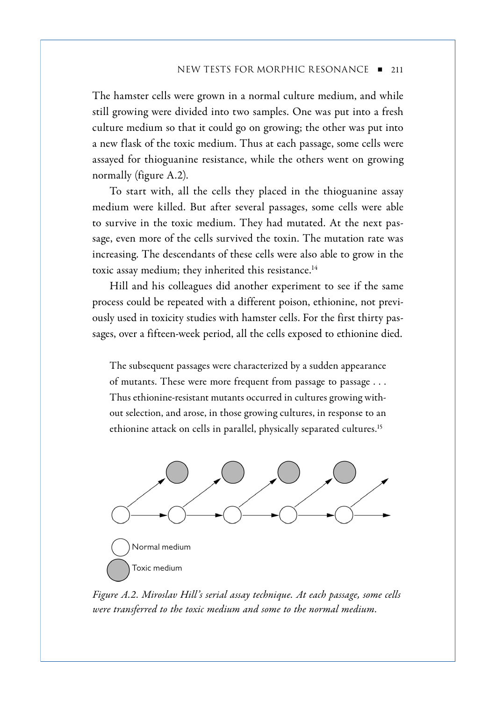The hamster cells were grown in a normal culture medium, and while still growing were divided into two samples. One was put into a fresh culture medium so that it could go on growing; the other was put into a new flask of the toxic medium. Thus at each passage, some cells were assayed for thioguanine resistance, while the others went on growing normally (figure A.2).

To start with, all the cells they placed in the thioguanine assay medium were killed. But after several passages, some cells were able to survive in the toxic medium. They had mutated. At the next passage, even more of the cells survived the toxin. The mutation rate was increasing. The descendants of these cells were also able to grow in the toxic assay medium; they inherited this resistance.<sup>14</sup>

Hill and his colleagues did another experiment to see if the same process could be repeated with a different poison, ethionine, not previously used in toxicity studies with hamster cells. For the first thirty passages, over a fifteen-week period, all the cells exposed to ethionine died.

The subsequent passages were characterized by a sudden appearance of mutants. These were more frequent from passage to passage . . . Thus ethionine-resistant mutants occurred in cultures growing without selection, and arose, in those growing cultures, in response to an ethionine attack on cells in parallel, physically separated cultures.15



*Figure A.2. Miroslav Hill's serial assay technique. At each passage, some cells were transferred to the toxic medium and some to the normal medium.*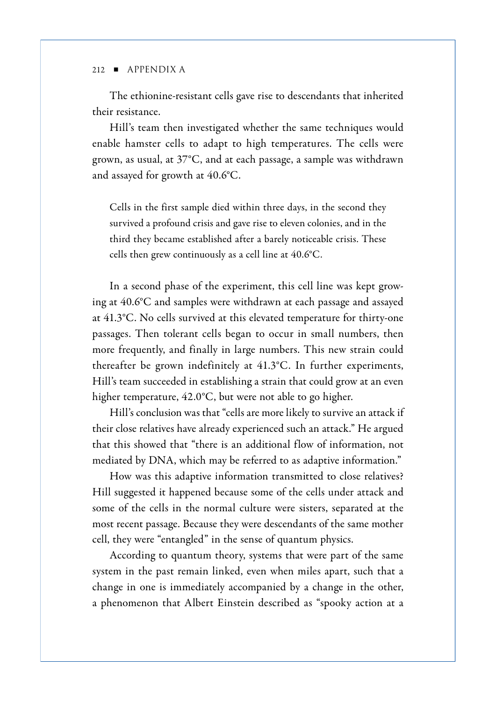The ethionine-resistant cells gave rise to descendants that inherited their resistance.

Hill's team then investigated whether the same techniques would enable hamster cells to adapt to high temperatures. The cells were grown, as usual, at 37°C, and at each passage, a sample was withdrawn and assayed for growth at 40.6°C.

Cells in the first sample died within three days, in the second they survived a profound crisis and gave rise to eleven colonies, and in the third they became established after a barely noticeable crisis. These cells then grew continuously as a cell line at 40.6°C.

In a second phase of the experiment, this cell line was kept growing at 40.6°C and samples were withdrawn at each passage and assayed at 41.3°C. No cells survived at this elevated temperature for thirty-one passages. Then tolerant cells began to occur in small numbers, then more frequently, and finally in large numbers. This new strain could thereafter be grown indefinitely at 41.3°C. In further experiments, Hill's team succeeded in establishing a strain that could grow at an even higher temperature, 42.0°C, but were not able to go higher.

Hill's conclusion was that "cells are more likely to survive an attack if their close relatives have already experienced such an attack." He argued that this showed that "there is an additional flow of information, not mediated by DNA, which may be referred to as adaptive information."

How was this adaptive information transmitted to close relatives? Hill suggested it happened because some of the cells under attack and some of the cells in the normal culture were sisters, separated at the most recent passage. Because they were descendants of the same mother cell, they were "entangled" in the sense of quantum physics.

According to quantum theory, systems that were part of the same system in the past remain linked, even when miles apart, such that a change in one is immediately accompanied by a change in the other, a phenomenon that Albert Einstein described as "spooky action at a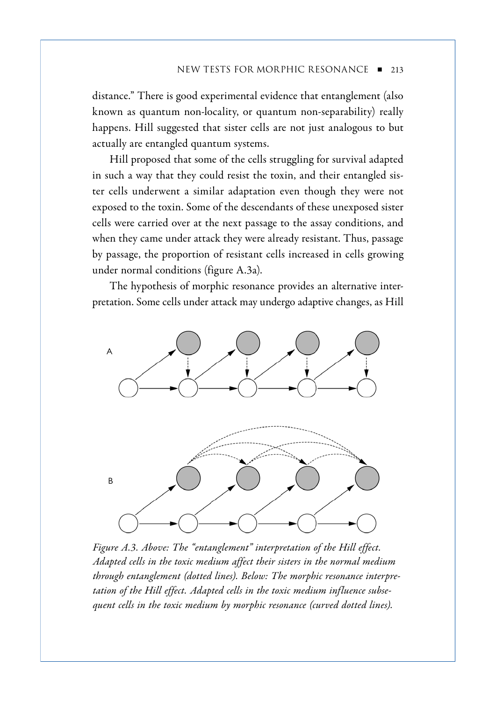distance." There is good experimental evidence that entanglement (also known as quantum non-locality, or quantum non-separability) really happens. Hill suggested that sister cells are not just analogous to but actually are entangled quantum systems.

Hill proposed that some of the cells struggling for survival adapted in such a way that they could resist the toxin, and their entangled sister cells underwent a similar adaptation even though they were not exposed to the toxin. Some of the descendants of these unexposed sister cells were carried over at the next passage to the assay conditions, and when they came under attack they were already resistant. Thus, passage by passage, the proportion of resistant cells increased in cells growing under normal conditions (figure A.3a).

The hypothesis of morphic resonance provides an alternative interpretation. Some cells under attack may undergo adaptive changes, as Hill



*Figure A.3. Abo*v*e: The "entanglement" interpretation of the Hill effect. Adapted cells in the toxic medium affect their sisters in the normal medium through entanglement (dotted lines). Below: The morphic resonance interpretation of the Hill effect. Adapted cells in the toxic medium influence subsequent cells in the toxic medium by morphic resonance (curved dotted lines).*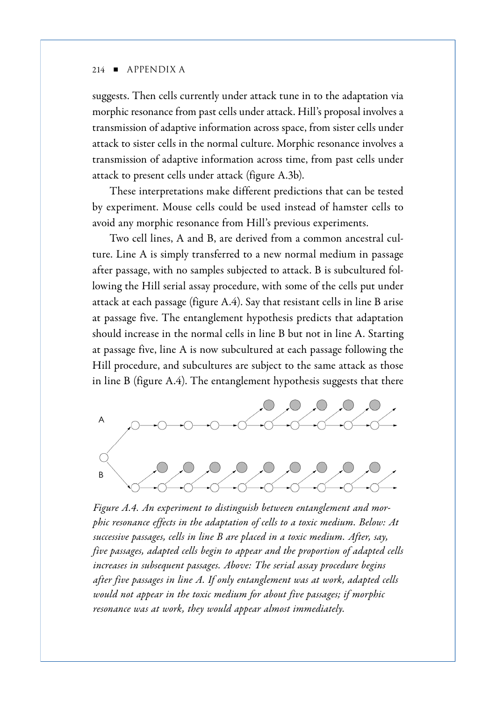suggests. Then cells currently under attack tune in to the adaptation via morphic resonance from past cells under attack. Hill's proposal involves a transmission of adaptive information across space, from sister cells under attack to sister cells in the normal culture. Morphic resonance involves a transmission of adaptive information across time, from past cells under attack to present cells under attack (figure A.3b).

These interpretations make different predictions that can be tested by experiment. Mouse cells could be used instead of hamster cells to avoid any morphic resonance from Hill's previous experiments.

Two cell lines, A and B, are derived from a common ancestral culture. Line A is simply transferred to a new normal medium in passage after passage, with no samples subjected to attack. B is subcultured following the Hill serial assay procedure, with some of the cells put under attack at each passage (figure A.4). Say that resistant cells in line B arise at passage five. The entanglement hypothesis predicts that adaptation should increase in the normal cells in line B but not in line A. Starting at passage five, line A is now subcultured at each passage following the Hill procedure, and subcultures are subject to the same attack as those in line B (figure A.4). The entanglement hypothesis suggests that there



*Figure A.4. An experiment to distinguish between entanglement and morphic resonance effects in the adaptation of cells to a toxic medium. Below: At successive passages, cells in line B are placed in a toxic medium. After, say, five passages, adapted cells begin to appear and the proportion of adapted cells increases in subsequent passages. Abo*v*e: The serial assay procedure begins after five passages in line A. If only entanglement was at work, adapted cells would not appear in the toxic medium for about five passages; if morphic resonance was at work, they would appear almost immediately.*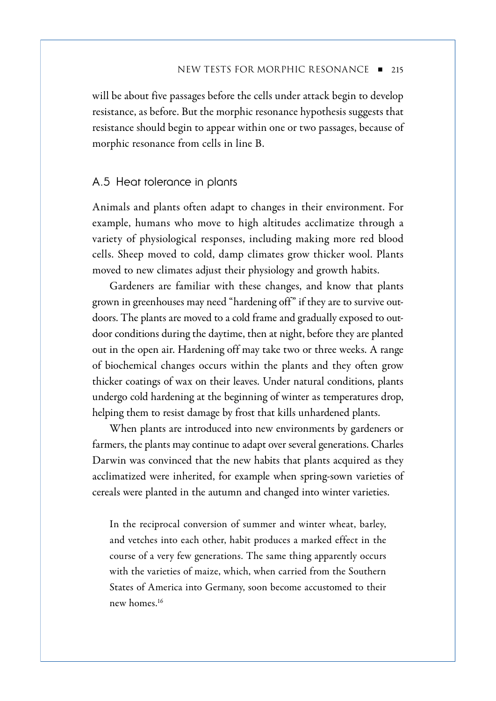will be about five passages before the cells under attack begin to develop resistance, as before. But the morphic resonance hypothesis suggests that resistance should begin to appear within one or two passages, because of morphic resonance from cells in line B.

# A.5 Heat tolerance in plants

Animals and plants often adapt to changes in their environment. For example, humans who move to high altitudes acclimatize through a variety of physiological responses, including making more red blood cells. Sheep moved to cold, damp climates grow thicker wool. Plants moved to new climates adjust their physiology and growth habits.

Gardeners are familiar with these changes, and know that plants grown in greenhouses may need "hardening off" if they are to survive outdoors. The plants are moved to a cold frame and gradually exposed to outdoor conditions during the daytime, then at night, before they are planted out in the open air. Hardening off may take two or three weeks. A range of biochemical changes occurs within the plants and they often grow thicker coatings of wax on their leaves. Under natural conditions, plants undergo cold hardening at the beginning of winter as temperatures drop, helping them to resist damage by frost that kills unhardened plants.

When plants are introduced into new environments by gardeners or farmers, the plants may continue to adapt over several generations. Charles Darwin was convinced that the new habits that plants acquired as they acclimatized were inherited, for example when spring-sown varieties of cereals were planted in the autumn and changed into winter varieties.

In the reciprocal conversion of summer and winter wheat, barley, and vetches into each other, habit produces a marked effect in the course of a very few generations. The same thing apparently occurs with the varieties of maize, which, when carried from the Southern States of America into Germany, soon become accustomed to their new homes.16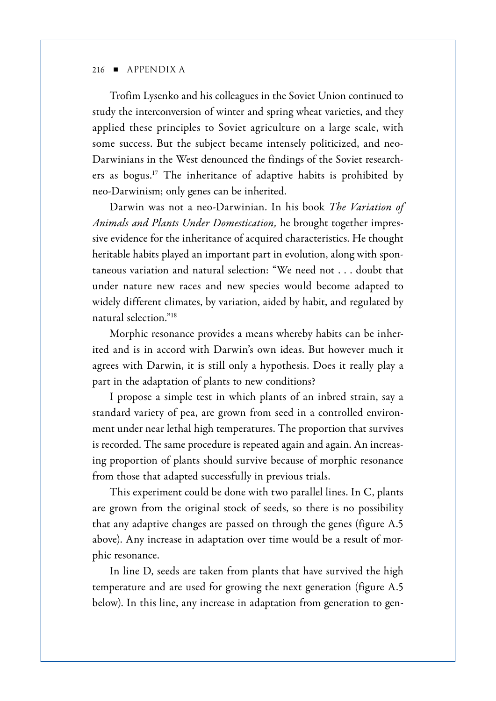# 216  $\blacksquare$  APPENDIX A

Trofim Lysenko and his colleagues in the Soviet Union continued to study the interconversion of winter and spring wheat varieties, and they applied these principles to Soviet agriculture on a large scale, with some success. But the subject became intensely politicized, and neo-Darwinians in the West denounced the findings of the Soviet researchers as bogus.17 The inheritance of adaptive habits is prohibited by neo-Darwinism; only genes can be inherited.

Darwin was not a neo-Darwinian. In his book *The Variation of Animals and Plants Under Domestication,* he brought together impressive evidence for the inheritance of acquired characteristics. He thought heritable habits played an important part in evolution, along with spontaneous variation and natural selection: "We need not . . . doubt that under nature new races and new species would become adapted to widely different climates, by variation, aided by habit, and regulated by natural selection."18

Morphic resonance provides a means whereby habits can be inherited and is in accord with Darwin's own ideas. But however much it agrees with Darwin, it is still only a hypothesis. Does it really play a part in the adaptation of plants to new conditions?

I propose a simple test in which plants of an inbred strain, say a standard variety of pea, are grown from seed in a controlled environment under near lethal high temperatures. The proportion that survives is recorded. The same procedure is repeated again and again. An increasing proportion of plants should survive because of morphic resonance from those that adapted successfully in previous trials.

This experiment could be done with two parallel lines. In C, plants are grown from the original stock of seeds, so there is no possibility that any adaptive changes are passed on through the genes (figure A.5 above). Any increase in adaptation over time would be a result of morphic resonance.

In line D, seeds are taken from plants that have survived the high temperature and are used for growing the next generation (figure A.5 below). In this line, any increase in adaptation from generation to gen-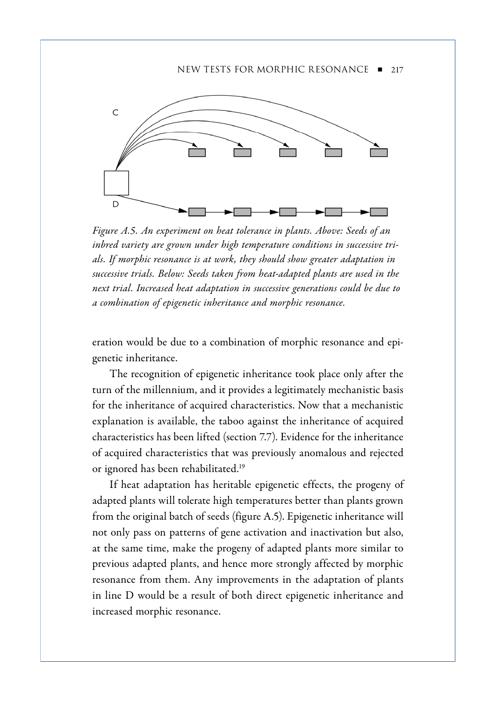#### NEW TESTS FOR MORPHIC RESONANCE **217**



*Figure A.5. An experiment on heat tolerance in plants. Abo*v*e: Seeds of an inbred variety are grown under high temperature conditions in successive trials. If morphic resonance is at work, they should show greater adaptation in successive trials. Below: Seeds taken from heat-adapted plants are used in the next trial. Increased heat adaptation in successive generations could be due to a combination of epigenetic inheritance and morphic resonance.*

eration would be due to a combination of morphic resonance and epigenetic inheritance.

The recognition of epigenetic inheritance took place only after the turn of the millennium, and it provides a legitimately mechanistic basis for the inheritance of acquired characteristics. Now that a mechanistic explanation is available, the taboo against the inheritance of acquired characteristics has been lifted (section 7.7). Evidence for the inheritance of acquired characteristics that was previously anomalous and rejected or ignored has been rehabilitated.19

If heat adaptation has heritable epigenetic effects, the progeny of adapted plants will tolerate high temperatures better than plants grown from the original batch of seeds (figure A.5). Epigenetic inheritance will not only pass on patterns of gene activation and inactivation but also, at the same time, make the progeny of adapted plants more similar to previous adapted plants, and hence more strongly affected by morphic resonance from them. Any improvements in the adaptation of plants in line D would be a result of both direct epigenetic inheritance and increased morphic resonance.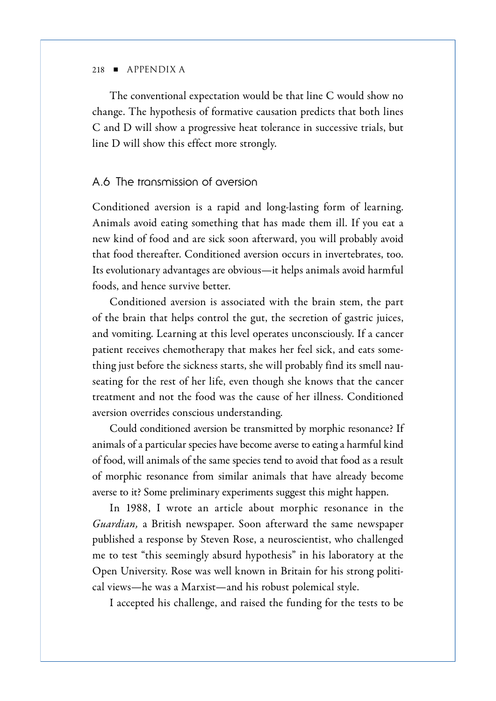The conventional expectation would be that line C would show no change. The hypothesis of formative causation predicts that both lines C and D will show a progressive heat tolerance in successive trials, but line D will show this effect more strongly.

#### A.6 The transmission of aversion

Conditioned aversion is a rapid and long-lasting form of learning. Animals avoid eating something that has made them ill. If you eat a new kind of food and are sick soon afterward, you will probably avoid that food thereafter. Conditioned aversion occurs in invertebrates, too. Its evolutionary advantages are obvious—it helps animals avoid harmful foods, and hence survive better.

Conditioned aversion is associated with the brain stem, the part of the brain that helps control the gut, the secretion of gastric juices, and vomiting. Learning at this level operates unconsciously. If a cancer patient receives chemotherapy that makes her feel sick, and eats something just before the sickness starts, she will probably find its smell nauseating for the rest of her life, even though she knows that the cancer treatment and not the food was the cause of her illness. Conditioned aversion overrides conscious understanding.

Could conditioned aversion be transmitted by morphic resonance? If animals of a particular species have become averse to eating a harmful kind of food, will animals of the same species tend to avoid that food as a result of morphic resonance from similar animals that have already become averse to it? Some preliminary experiments suggest this might happen.

In 1988, I wrote an article about morphic resonance in the *Guardian,* a British newspaper. Soon afterward the same newspaper published a response by Steven Rose, a neuroscientist, who challenged me to test "this seemingly absurd hypothesis" in his laboratory at the Open University. Rose was well known in Britain for his strong political views—he was a Marxist—and his robust polemical style.

I accepted his challenge, and raised the funding for the tests to be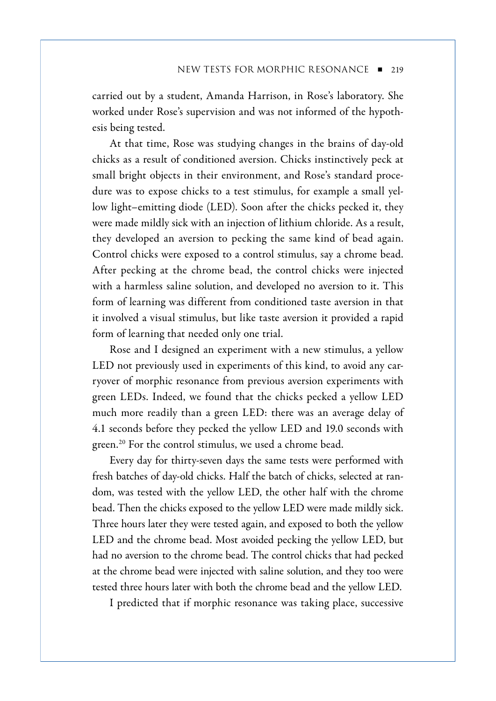carried out by a student, Amanda Harrison, in Rose's laboratory. She worked under Rose's supervision and was not informed of the hypothesis being tested.

At that time, Rose was studying changes in the brains of day-old chicks as a result of conditioned aversion. Chicks instinctively peck at small bright objects in their environment, and Rose's standard procedure was to expose chicks to a test stimulus, for example a small yellow light–emitting diode (LED). Soon after the chicks pecked it, they were made mildly sick with an injection of lithium chloride. As a result, they developed an aversion to pecking the same kind of bead again. Control chicks were exposed to a control stimulus, say a chrome bead. After pecking at the chrome bead, the control chicks were injected with a harmless saline solution, and developed no aversion to it. This form of learning was different from conditioned taste aversion in that it involved a visual stimulus, but like taste aversion it provided a rapid form of learning that needed only one trial.

Rose and I designed an experiment with a new stimulus, a yellow LED not previously used in experiments of this kind, to avoid any carryover of morphic resonance from previous aversion experiments with green LEDs. Indeed, we found that the chicks pecked a yellow LED much more readily than a green LED: there was an average delay of 4.1 seconds before they pecked the yellow LED and 19.0 seconds with green.<sup>20</sup> For the control stimulus, we used a chrome bead.

Every day for thirty-seven days the same tests were performed with fresh batches of day-old chicks. Half the batch of chicks, selected at random, was tested with the yellow LED, the other half with the chrome bead. Then the chicks exposed to the yellow LED were made mildly sick. Three hours later they were tested again, and exposed to both the yellow LED and the chrome bead. Most avoided pecking the yellow LED, but had no aversion to the chrome bead. The control chicks that had pecked at the chrome bead were injected with saline solution, and they too were tested three hours later with both the chrome bead and the yellow LED.

I predicted that if morphic resonance was taking place, successive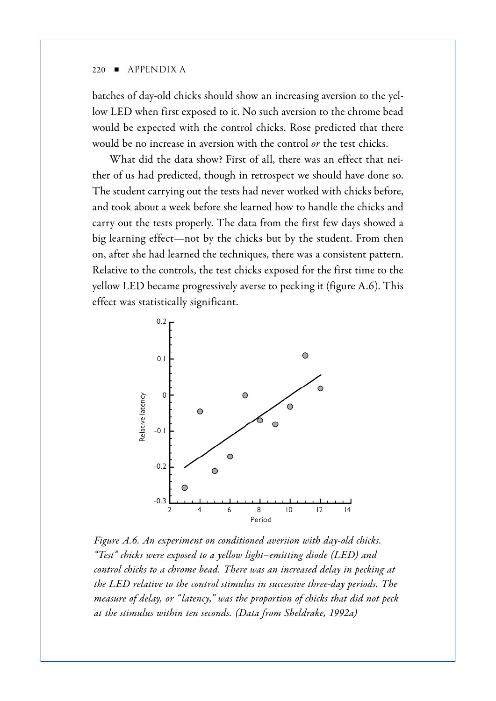batches of day-old chicks should show an increasing aversion to the yellow LED when first exposed to it. No such aversion to the chrome bead would be expected with the control chicks. Rose predicted that there would be no increase in aversion with the control *or* the test chicks.

What did the data show? First of all, there was an effect that neither of us had predicted, though in retrospect we should have done so. The student carrying out the tests had never worked with chicks before, and took about a week before she learned how to handle the chicks and carry out the tests properly. The data from the first few days showed a big learning effect—not by the chicks but by the student. From then on, after she had learned the techniques, there was a consistent pattern. Relative to the controls, the test chicks exposed for the first time to the yellow LED became progressively averse to pecking it (figure A.6). This effect was statistically significant.



*Figure A.6. An experiment on conditioned aversion with day-old chicks. "Test" chicks were exposed to a yellow light–emitting diode (LED) and control chicks to a chrome bead. There was an increased delay in pecking at the LED relative to the control stimulus in successive three-day periods. The measure of delay, or " latency," was the proportion of chicks that did not peck*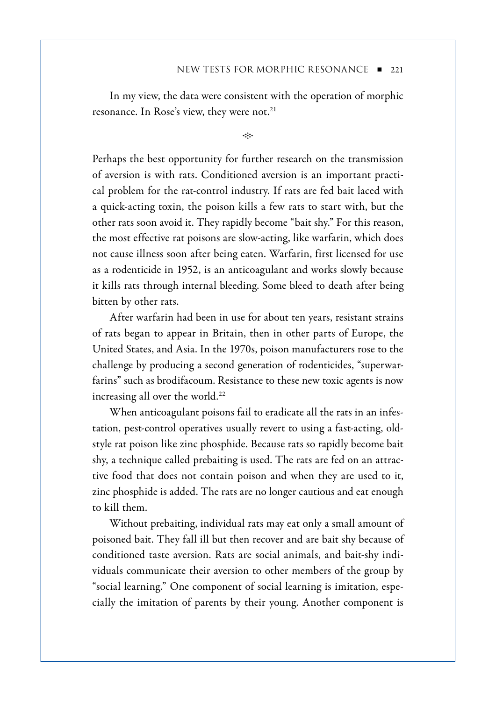In my view, the data were consistent with the operation of morphic resonance. In Rose's view, they were not.<sup>21</sup>

&

Perhaps the best opportunity for further research on the transmission of aversion is with rats. Conditioned aversion is an important practical problem for the rat-control industry. If rats are fed bait laced with a quick-acting toxin, the poison kills a few rats to start with, but the other rats soon avoid it. They rapidly become "bait shy." For this reason, the most effective rat poisons are slow-acting, like warfarin, which does not cause illness soon after being eaten. Warfarin, first licensed for use as a rodenticide in 1952, is an anticoagulant and works slowly because it kills rats through internal bleeding. Some bleed to death after being bitten by other rats.

After warfarin had been in use for about ten years, resistant strains of rats began to appear in Britain, then in other parts of Europe, the United States, and Asia. In the 1970s, poison manufacturers rose to the challenge by producing a second generation of rodenticides, "superwarfarins" such as brodifacoum. Resistance to these new toxic agents is now increasing all over the world.<sup>22</sup>

When anticoagulant poisons fail to eradicate all the rats in an infestation, pest-control operatives usually revert to using a fast-acting, oldstyle rat poison like zinc phosphide. Because rats so rapidly become bait shy, a technique called prebaiting is used. The rats are fed on an attractive food that does not contain poison and when they are used to it, zinc phosphide is added. The rats are no longer cautious and eat enough to kill them.

Without prebaiting, individual rats may eat only a small amount of poisoned bait. They fall ill but then recover and are bait shy because of conditioned taste aversion. Rats are social animals, and bait-shy individuals communicate their aversion to other members of the group by "social learning." One component of social learning is imitation, especially the imitation of parents by their young. Another component is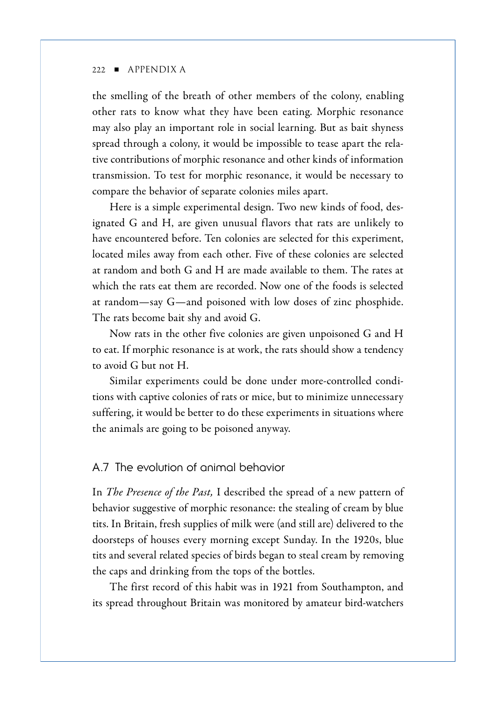the smelling of the breath of other members of the colony, enabling other rats to know what they have been eating. Morphic resonance may also play an important role in social learning. But as bait shyness spread through a colony, it would be impossible to tease apart the relative contributions of morphic resonance and other kinds of information transmission. To test for morphic resonance, it would be necessary to compare the behavior of separate colonies miles apart.

Here is a simple experimental design. Two new kinds of food, designated G and H, are given unusual flavors that rats are unlikely to have encountered before. Ten colonies are selected for this experiment, located miles away from each other. Five of these colonies are selected at random and both G and H are made available to them. The rates at which the rats eat them are recorded. Now one of the foods is selected at random—say G—and poisoned with low doses of zinc phosphide. The rats become bait shy and avoid G.

Now rats in the other five colonies are given unpoisoned G and H to eat. If morphic resonance is at work, the rats should show a tendency to avoid G but not H.

Similar experiments could be done under more-controlled conditions with captive colonies of rats or mice, but to minimize unnecessary suffering, it would be better to do these experiments in situations where the animals are going to be poisoned anyway.

#### A.7 The evolution of animal behavior

In *The Presence of the Past,* I described the spread of a new pattern of behavior suggestive of morphic resonance: the stealing of cream by blue tits. In Britain, fresh supplies of milk were (and still are) delivered to the doorsteps of houses every morning except Sunday. In the 1920s, blue tits and several related species of birds began to steal cream by removing the caps and drinking from the tops of the bottles.

The first record of this habit was in 1921 from Southampton, and its spread throughout Britain was monitored by amateur bird-watchers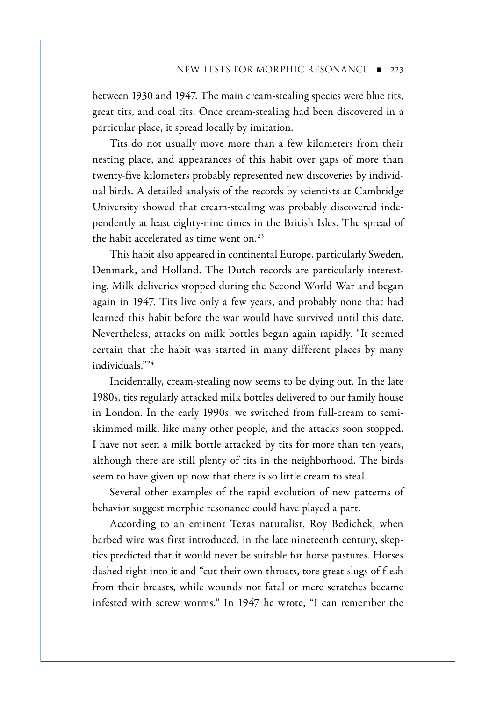between 1930 and 1947. The main cream-stealing species were blue tits, great tits, and coal tits. Once cream-stealing had been discovered in a particular place, it spread locally by imitation.

Tits do not usually move more than a few kilometers from their nesting place, and appearances of this habit over gaps of more than twenty-five kilometers probably represented new discoveries by individual birds. A detailed analysis of the records by scientists at Cambridge University showed that cream-stealing was probably discovered independently at least eighty-nine times in the British Isles. The spread of the habit accelerated as time went on.<sup>23</sup>

This habit also appeared in continental Europe, particularly Sweden, Denmark, and Holland. The Dutch records are particularly interesting. Milk deliveries stopped during the Second World War and began again in 1947. Tits live only a few years, and probably none that had learned this habit before the war would have survived until this date. Nevertheless, attacks on milk bottles began again rapidly. "It seemed certain that the habit was started in many different places by many individuals."24

Incidentally, cream-stealing now seems to be dying out. In the late 1980s, tits regularly attacked milk bottles delivered to our family house in London. In the early 1990s, we switched from full-cream to semiskimmed milk, like many other people, and the attacks soon stopped. I have not seen a milk bottle attacked by tits for more than ten years, although there are still plenty of tits in the neighborhood. The birds seem to have given up now that there is so little cream to steal.

Several other examples of the rapid evolution of new patterns of behavior suggest morphic resonance could have played a part.

According to an eminent Texas naturalist, Roy Bedichek, when barbed wire was first introduced, in the late nineteenth century, skeptics predicted that it would never be suitable for horse pastures. Horses dashed right into it and "cut their own throats, tore great slugs of flesh from their breasts, while wounds not fatal or mere scratches became infested with screw worms." In 1947 he wrote, "I can remember the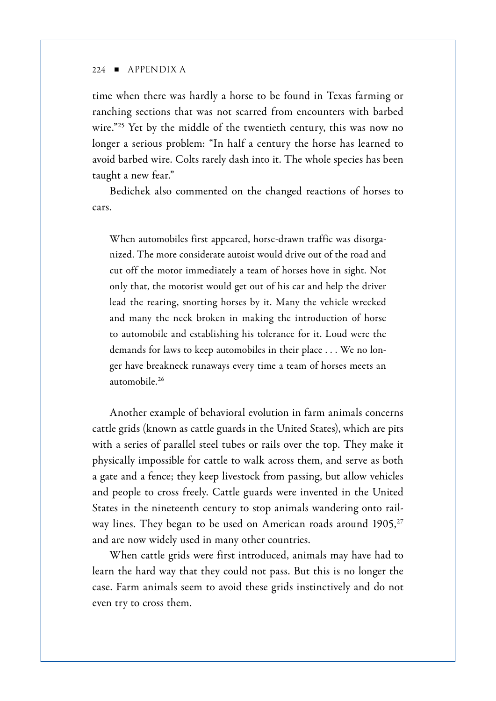time when there was hardly a horse to be found in Texas farming or ranching sections that was not scarred from encounters with barbed wire."<sup>25</sup> Yet by the middle of the twentieth century, this was now no longer a serious problem: "In half a century the horse has learned to avoid barbed wire. Colts rarely dash into it. The whole species has been taught a new fear."

Bedichek also commented on the changed reactions of horses to cars.

When automobiles first appeared, horse-drawn traffic was disorganized. The more considerate autoist would drive out of the road and cut off the motor immediately a team of horses hove in sight. Not only that, the motorist would get out of his car and help the driver lead the rearing, snorting horses by it. Many the vehicle wrecked and many the neck broken in making the introduction of horse to automobile and establishing his tolerance for it. Loud were the demands for laws to keep automobiles in their place . . . We no longer have breakneck runaways every time a team of horses meets an automobile.26

Another example of behavioral evolution in farm animals concerns cattle grids (known as cattle guards in the United States), which are pits with a series of parallel steel tubes or rails over the top. They make it physically impossible for cattle to walk across them, and serve as both a gate and a fence; they keep livestock from passing, but allow vehicles and people to cross freely. Cattle guards were invented in the United States in the nineteenth century to stop animals wandering onto railway lines. They began to be used on American roads around  $1905$ ,<sup>27</sup> and are now widely used in many other countries.

When cattle grids were first introduced, animals may have had to learn the hard way that they could not pass. But this is no longer the case. Farm animals seem to avoid these grids instinctively and do not even try to cross them.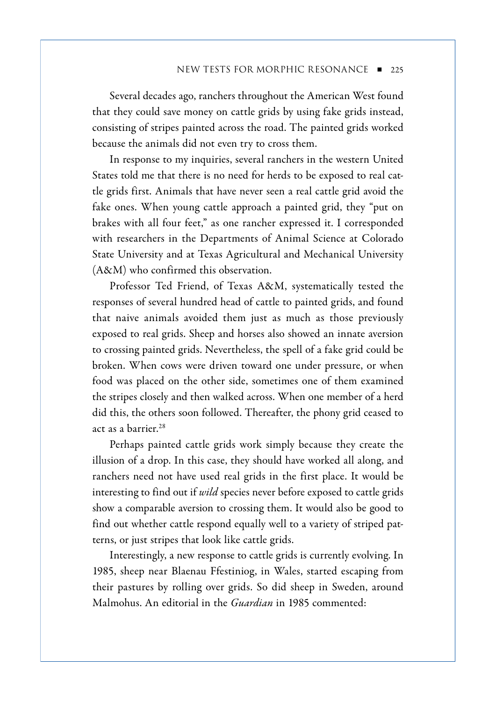Several decades ago, ranchers throughout the American West found that they could save money on cattle grids by using fake grids instead, consisting of stripes painted across the road. The painted grids worked because the animals did not even try to cross them.

In response to my inquiries, several ranchers in the western United States told me that there is no need for herds to be exposed to real cattle grids first. Animals that have never seen a real cattle grid avoid the fake ones. When young cattle approach a painted grid, they "put on brakes with all four feet," as one rancher expressed it. I corresponded with researchers in the Departments of Animal Science at Colorado State University and at Texas Agricultural and Mechanical University (A&M) who confirmed this observation.

Professor Ted Friend, of Texas A&M, systematically tested the responses of several hundred head of cattle to painted grids, and found that naive animals avoided them just as much as those previously exposed to real grids. Sheep and horses also showed an innate aversion to crossing painted grids. Nevertheless, the spell of a fake grid could be broken. When cows were driven toward one under pressure, or when food was placed on the other side, sometimes one of them examined the stripes closely and then walked across. When one member of a herd did this, the others soon followed. Thereafter, the phony grid ceased to act as a barrier.28

Perhaps painted cattle grids work simply because they create the illusion of a drop. In this case, they should have worked all along, and ranchers need not have used real grids in the first place. It would be interesting to find out if *wild* species never before exposed to cattle grids show a comparable aversion to crossing them. It would also be good to find out whether cattle respond equally well to a variety of striped patterns, or just stripes that look like cattle grids.

Interestingly, a new response to cattle grids is currently evolving. In 1985, sheep near Blaenau Ffestiniog, in Wales, started escaping from their pastures by rolling over grids. So did sheep in Sweden, around Malmohus. An editorial in the *Guardian* in 1985 commented: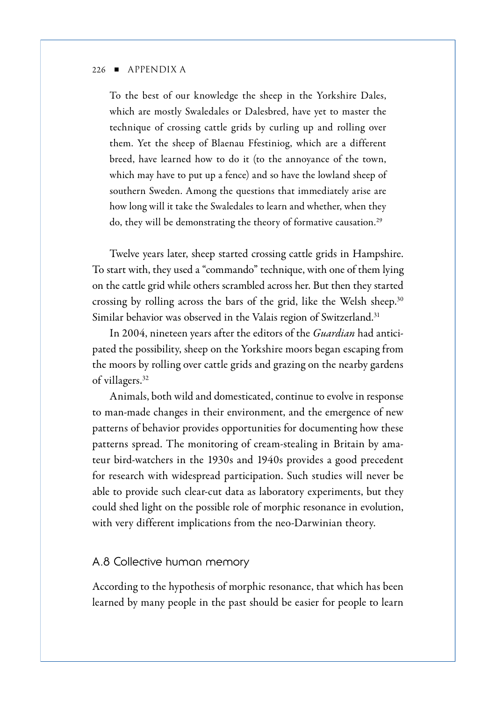#### 226  $\blacksquare$  APPENDIX A

To the best of our knowledge the sheep in the Yorkshire Dales, which are mostly Swaledales or Dalesbred, have yet to master the technique of crossing cattle grids by curling up and rolling over them. Yet the sheep of Blaenau Ffestiniog, which are a different breed, have learned how to do it (to the annoyance of the town, which may have to put up a fence) and so have the lowland sheep of southern Sweden. Among the questions that immediately arise are how long will it take the Swaledales to learn and whether, when they do, they will be demonstrating the theory of formative causation.<sup>29</sup>

Twelve years later, sheep started crossing cattle grids in Hampshire. To start with, they used a "commando" technique, with one of them lying on the cattle grid while others scrambled across her. But then they started crossing by rolling across the bars of the grid, like the Welsh sheep.<sup>30</sup> Similar behavior was observed in the Valais region of Switzerland.<sup>31</sup>

In 2004, nineteen years after the editors of the *Guardian* had anticipated the possibility, sheep on the Yorkshire moors began escaping from the moors by rolling over cattle grids and grazing on the nearby gardens of villagers.32

Animals, both wild and domesticated, continue to evolve in response to man-made changes in their environment, and the emergence of new patterns of behavior provides opportunities for documenting how these patterns spread. The monitoring of cream-stealing in Britain by amateur bird-watchers in the 1930s and 1940s provides a good precedent for research with widespread participation. Such studies will never be able to provide such clear-cut data as laboratory experiments, but they could shed light on the possible role of morphic resonance in evolution, with very different implications from the neo-Darwinian theory.

# A.8 Collective human memory

According to the hypothesis of morphic resonance, that which has been learned by many people in the past should be easier for people to learn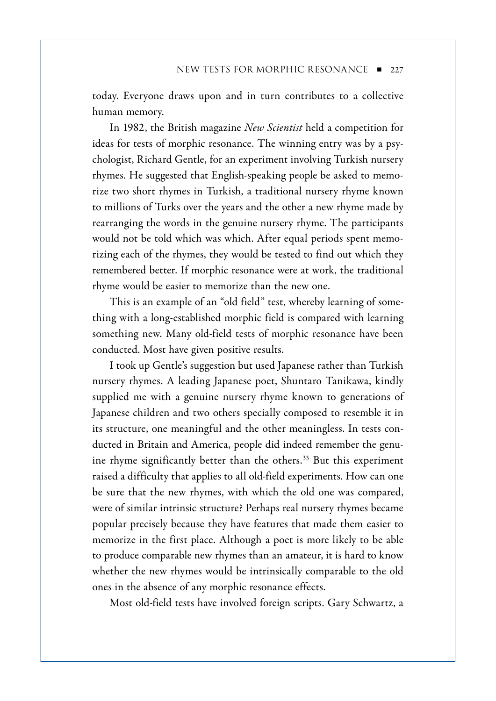today. Everyone draws upon and in turn contributes to a collective human memory.

In 1982, the British magazine *New Scientist* held a competition for ideas for tests of morphic resonance. The winning entry was by a psychologist, Richard Gentle, for an experiment involving Turkish nursery rhymes. He suggested that English-speaking people be asked to memorize two short rhymes in Turkish, a traditional nursery rhyme known to millions of Turks over the years and the other a new rhyme made by rearranging the words in the genuine nursery rhyme. The participants would not be told which was which. After equal periods spent memorizing each of the rhymes, they would be tested to find out which they remembered better. If morphic resonance were at work, the traditional rhyme would be easier to memorize than the new one.

This is an example of an "old field" test, whereby learning of something with a long-established morphic field is compared with learning something new. Many old-field tests of morphic resonance have been conducted. Most have given positive results.

I took up Gentle's suggestion but used Japanese rather than Turkish nursery rhymes. A leading Japanese poet, Shuntaro Tanikawa, kindly supplied me with a genuine nursery rhyme known to generations of Japanese children and two others specially composed to resemble it in its structure, one meaningful and the other meaningless. In tests conducted in Britain and America, people did indeed remember the genuine rhyme significantly better than the others.<sup>33</sup> But this experiment raised a difficulty that applies to all old-field experiments. How can one be sure that the new rhymes, with which the old one was compared, were of similar intrinsic structure? Perhaps real nursery rhymes became popular precisely because they have features that made them easier to memorize in the first place. Although a poet is more likely to be able to produce comparable new rhymes than an amateur, it is hard to know whether the new rhymes would be intrinsically comparable to the old ones in the absence of any morphic resonance effects.

Most old-field tests have involved foreign scripts. Gary Schwartz, a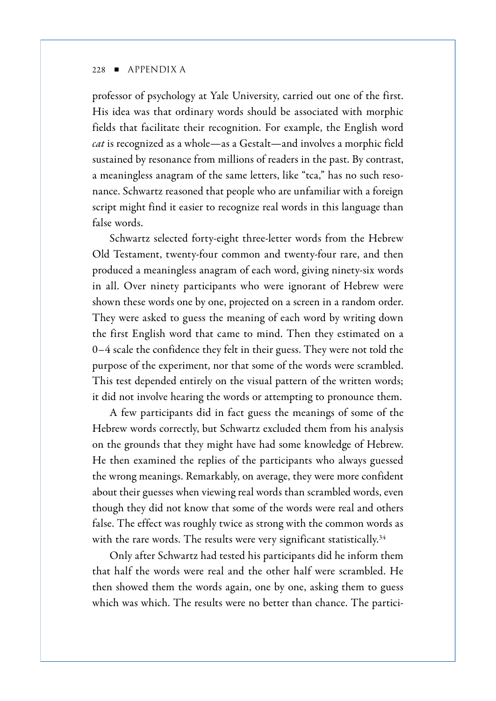professor of psychology at Yale University, carried out one of the first. His idea was that ordinary words should be associated with morphic fields that facilitate their recognition. For example, the English word *cat* is recognized as a whole—as a Gestalt—and involves a morphic field sustained by resonance from millions of readers in the past. By contrast, a meaningless anagram of the same letters, like "tca," has no such resonance. Schwartz reasoned that people who are unfamiliar with a foreign script might find it easier to recognize real words in this language than false words.

Schwartz selected forty-eight three-letter words from the Hebrew Old Testament, twenty-four common and twenty-four rare, and then produced a meaningless anagram of each word, giving ninety-six words in all. Over ninety participants who were ignorant of Hebrew were shown these words one by one, projected on a screen in a random order. They were asked to guess the meaning of each word by writing down the first English word that came to mind. Then they estimated on a 0–4 scale the confidence they felt in their guess. They were not told the purpose of the experiment, nor that some of the words were scrambled. This test depended entirely on the visual pattern of the written words; it did not involve hearing the words or attempting to pronounce them.

A few participants did in fact guess the meanings of some of the Hebrew words correctly, but Schwartz excluded them from his analysis on the grounds that they might have had some knowledge of Hebrew. He then examined the replies of the participants who always guessed the wrong meanings. Remarkably, on average, they were more confident about their guesses when viewing real words than scrambled words, even though they did not know that some of the words were real and others false. The effect was roughly twice as strong with the common words as with the rare words. The results were very significant statistically.<sup>34</sup>

Only after Schwartz had tested his participants did he inform them that half the words were real and the other half were scrambled. He then showed them the words again, one by one, asking them to guess which was which. The results were no better than chance. The partici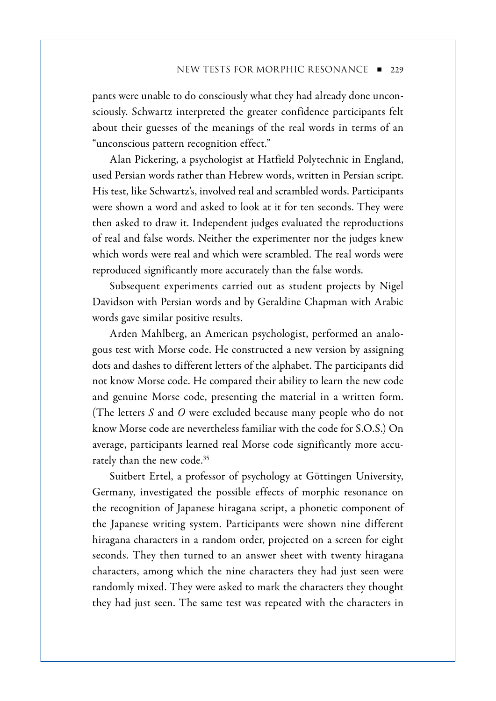pants were unable to do consciously what they had already done unconsciously. Schwartz interpreted the greater confidence participants felt about their guesses of the meanings of the real words in terms of an "unconscious pattern recognition effect."

Alan Pickering, a psychologist at Hatfield Polytechnic in England, used Persian words rather than Hebrew words, written in Persian script. His test, like Schwartz's, involved real and scrambled words. Participants were shown a word and asked to look at it for ten seconds. They were then asked to draw it. Independent judges evaluated the reproductions of real and false words. Neither the experimenter nor the judges knew which words were real and which were scrambled. The real words were reproduced significantly more accurately than the false words.

Subsequent experiments carried out as student projects by Nigel Davidson with Persian words and by Geraldine Chapman with Arabic words gave similar positive results.

Arden Mahlberg, an American psychologist, performed an analogous test with Morse code. He constructed a new version by assigning dots and dashes to different letters of the alphabet. The participants did not know Morse code. He compared their ability to learn the new code and genuine Morse code, presenting the material in a written form. (The letters *S* and *O* were excluded because many people who do not know Morse code are nevertheless familiar with the code for S.O.S.) On average, participants learned real Morse code significantly more accurately than the new code.<sup>35</sup>

Suitbert Ertel, a professor of psychology at Göttingen University, Germany, investigated the possible effects of morphic resonance on the recognition of Japanese hiragana script, a phonetic component of the Japanese writing system. Participants were shown nine different hiragana characters in a random order, projected on a screen for eight seconds. They then turned to an answer sheet with twenty hiragana characters, among which the nine characters they had just seen were randomly mixed. They were asked to mark the characters they thought they had just seen. The same test was repeated with the characters in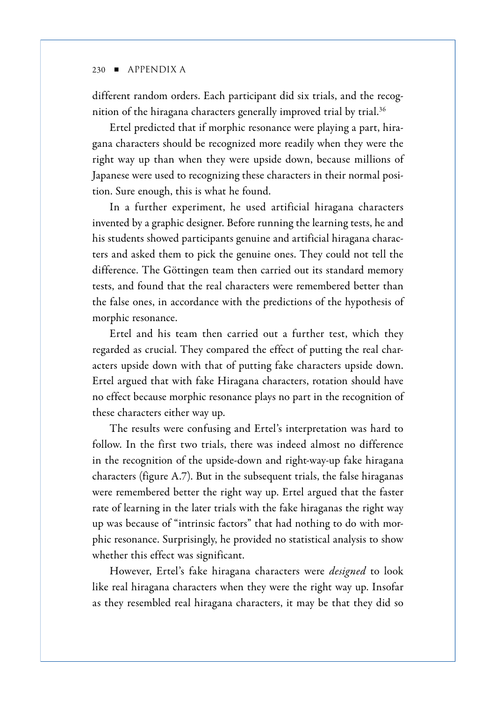different random orders. Each participant did six trials, and the recognition of the hiragana characters generally improved trial by trial.<sup>36</sup>

Ertel predicted that if morphic resonance were playing a part, hiragana characters should be recognized more readily when they were the right way up than when they were upside down, because millions of Japanese were used to recognizing these characters in their normal position. Sure enough, this is what he found.

In a further experiment, he used artificial hiragana characters invented by a graphic designer. Before running the learning tests, he and his students showed participants genuine and artificial hiragana characters and asked them to pick the genuine ones. They could not tell the difference. The Göttingen team then carried out its standard memory tests, and found that the real characters were remembered better than the false ones, in accordance with the predictions of the hypothesis of morphic resonance.

Ertel and his team then carried out a further test, which they regarded as crucial. They compared the effect of putting the real characters upside down with that of putting fake characters upside down. Ertel argued that with fake Hiragana characters, rotation should have no effect because morphic resonance plays no part in the recognition of these characters either way up.

The results were confusing and Ertel's interpretation was hard to follow. In the first two trials, there was indeed almost no difference in the recognition of the upside-down and right-way-up fake hiragana characters (figure A.7). But in the subsequent trials, the false hiraganas were remembered better the right way up. Ertel argued that the faster rate of learning in the later trials with the fake hiraganas the right way up was because of "intrinsic factors" that had nothing to do with morphic resonance. Surprisingly, he provided no statistical analysis to show whether this effect was significant.

However, Ertel's fake hiragana characters were *designed* to look like real hiragana characters when they were the right way up. Insofar as they resembled real hiragana characters, it may be that they did so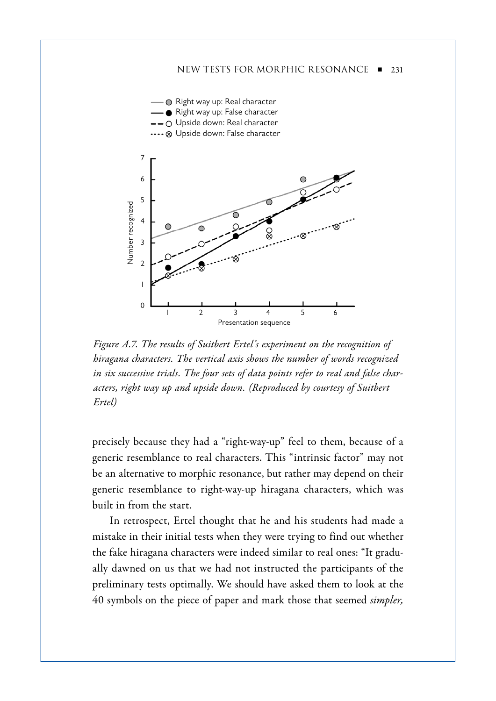#### NEW TESTS FOR MORPHIC RESONANCE 231



*Figure A.7. The results of Suitbert Ertel's experiment on the recognition of hiragana characters. The vertical axis shows the number of words recognized in six successive trials. The four sets of data points refer to real and false characters, right way up and upside down. (Reproduced by courtesy of Suitbert Ertel)*

precisely because they had a "right-way-up" feel to them, because of a generic resemblance to real characters. This "intrinsic factor" may not be an alternative to morphic resonance, but rather may depend on their generic resemblance to right-way-up hiragana characters, which was built in from the start.

In retrospect, Ertel thought that he and his students had made a mistake in their initial tests when they were trying to find out whether the fake hiragana characters were indeed similar to real ones: "It gradually dawned on us that we had not instructed the participants of the preliminary tests optimally. We should have asked them to look at the 40 symbols on the piece of paper and mark those that seemed *simpler,*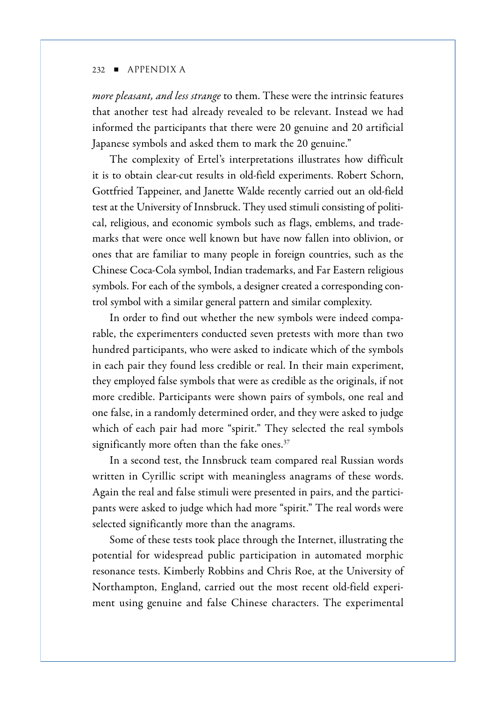*more pleasant, and less strange* to them. These were the intrinsic features that another test had already revealed to be relevant. Instead we had informed the participants that there were 20 genuine and 20 artificial Japanese symbols and asked them to mark the 20 genuine."

The complexity of Ertel's interpretations illustrates how difficult it is to obtain clear-cut results in old-field experiments. Robert Schorn, Gottfried Tappeiner, and Janette Walde recently carried out an old-field test at the University of Innsbruck. They used stimuli consisting of political, religious, and economic symbols such as flags, emblems, and trademarks that were once well known but have now fallen into oblivion, or ones that are familiar to many people in foreign countries, such as the Chinese Coca-Cola symbol, Indian trademarks, and Far Eastern religious symbols. For each of the symbols, a designer created a corresponding control symbol with a similar general pattern and similar complexity.

In order to find out whether the new symbols were indeed comparable, the experimenters conducted seven pretests with more than two hundred participants, who were asked to indicate which of the symbols in each pair they found less credible or real. In their main experiment, they employed false symbols that were as credible as the originals, if not more credible. Participants were shown pairs of symbols, one real and one false, in a randomly determined order, and they were asked to judge which of each pair had more "spirit." They selected the real symbols significantly more often than the fake ones.<sup>37</sup>

In a second test, the Innsbruck team compared real Russian words written in Cyrillic script with meaningless anagrams of these words. Again the real and false stimuli were presented in pairs, and the participants were asked to judge which had more "spirit." The real words were selected significantly more than the anagrams.

Some of these tests took place through the Internet, illustrating the potential for widespread public participation in automated morphic resonance tests. Kimberly Robbins and Chris Roe, at the University of Northampton, England, carried out the most recent old-field experiment using genuine and false Chinese characters. The experimental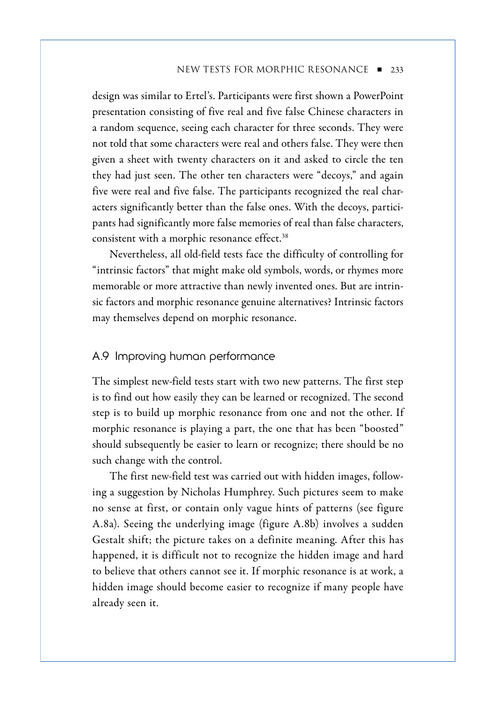# NEW TESTS FOR MORPHIC RESONANCE 233

design was similar to Ertel's. Participants were first shown a PowerPoint presentation consisting of five real and five false Chinese characters in a random sequence, seeing each character for three seconds. They were not told that some characters were real and others false. They were then given a sheet with twenty characters on it and asked to circle the ten they had just seen. The other ten characters were "decoys," and again five were real and five false. The participants recognized the real characters significantly better than the false ones. With the decoys, participants had significantly more false memories of real than false characters, consistent with a morphic resonance effect.<sup>38</sup>

Nevertheless, all old-field tests face the difficulty of controlling for "intrinsic factors" that might make old symbols, words, or rhymes more memorable or more attractive than newly invented ones. But are intrinsic factors and morphic resonance genuine alternatives? Intrinsic factors may themselves depend on morphic resonance.

# A.9 Improving human performance

The simplest new-field tests start with two new patterns. The first step is to find out how easily they can be learned or recognized. The second step is to build up morphic resonance from one and not the other. If morphic resonance is playing a part, the one that has been "boosted" should subsequently be easier to learn or recognize; there should be no such change with the control.

The first new-field test was carried out with hidden images, following a suggestion by Nicholas Humphrey. Such pictures seem to make no sense at first, or contain only vague hints of patterns (see figure A.8a). Seeing the underlying image (figure A.8b) involves a sudden Gestalt shift; the picture takes on a definite meaning. After this has happened, it is difficult not to recognize the hidden image and hard to believe that others cannot see it. If morphic resonance is at work, a hidden image should become easier to recognize if many people have already seen it.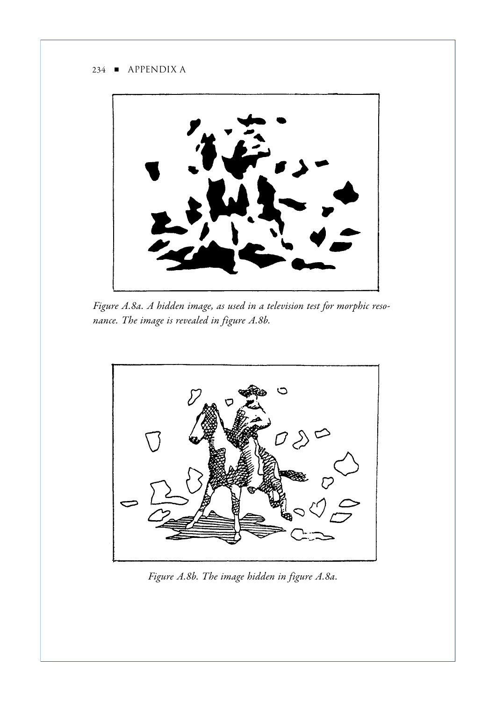

*Figure A.8a. A hidden image, as used in a television test for morphic resonance. The image is revealed in figure A.8b.* 



*Figure A.8b. The image hidden in figure A.8a.*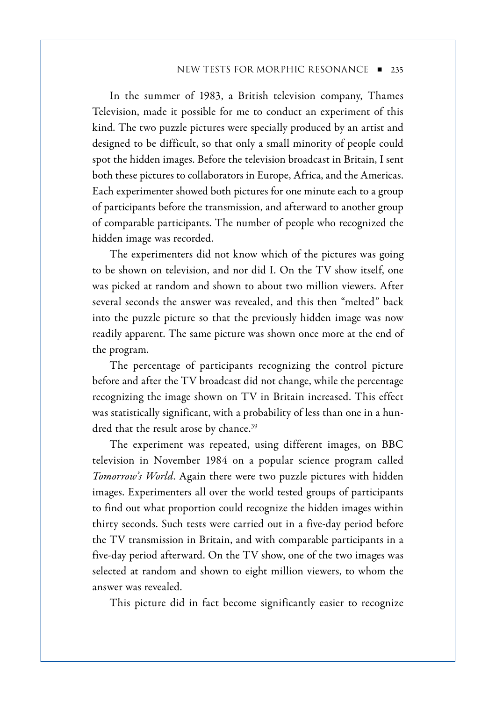# NEW TESTS FOR MORPHIC RESONANCE 235

In the summer of 1983, a British television company, Thames Television, made it possible for me to conduct an experiment of this kind. The two puzzle pictures were specially produced by an artist and designed to be difficult, so that only a small minority of people could spot the hidden images. Before the television broadcast in Britain, I sent both these pictures to collaborators in Europe, Africa, and the Americas. Each experimenter showed both pictures for one minute each to a group of participants before the transmission, and afterward to another group of comparable participants. The number of people who recognized the hidden image was recorded.

The experimenters did not know which of the pictures was going to be shown on television, and nor did I. On the TV show itself, one was picked at random and shown to about two million viewers. After several seconds the answer was revealed, and this then "melted" back into the puzzle picture so that the previously hidden image was now readily apparent. The same picture was shown once more at the end of the program.

The percentage of participants recognizing the control picture before and after the TV broadcast did not change, while the percentage recognizing the image shown on TV in Britain increased. This effect was statistically significant, with a probability of less than one in a hundred that the result arose by chance.<sup>39</sup>

The experiment was repeated, using different images, on BBC television in November 1984 on a popular science program called *Tomorrow's World*. Again there were two puzzle pictures with hidden images. Experimenters all over the world tested groups of participants to find out what proportion could recognize the hidden images within thirty seconds. Such tests were carried out in a five-day period before the TV transmission in Britain, and with comparable participants in a five-day period afterward. On the TV show, one of the two images was selected at random and shown to eight million viewers, to whom the answer was revealed.

This picture did in fact become significantly easier to recognize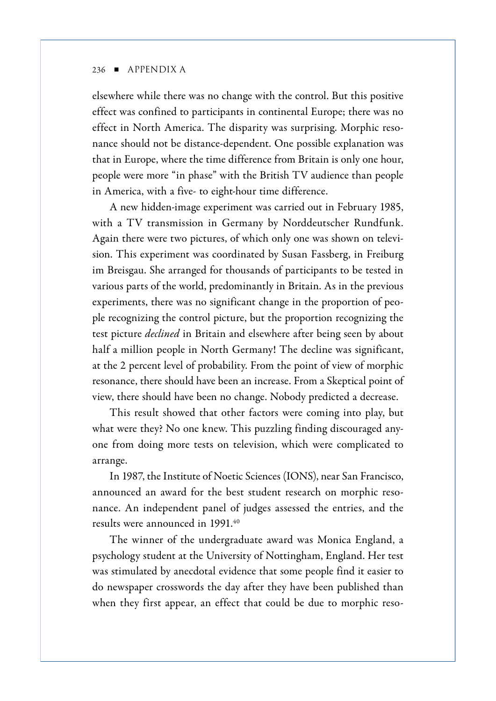# 236  $\blacksquare$  APPENDIX A

elsewhere while there was no change with the control. But this positive effect was confined to participants in continental Europe; there was no effect in North America. The disparity was surprising. Morphic resonance should not be distance-dependent. One possible explanation was that in Europe, where the time difference from Britain is only one hour, people were more "in phase" with the British TV audience than people in America, with a five- to eight-hour time difference.

A new hidden-image experiment was carried out in February 1985, with a TV transmission in Germany by Norddeutscher Rundfunk. Again there were two pictures, of which only one was shown on television. This experiment was coordinated by Susan Fassberg, in Freiburg im Breisgau. She arranged for thousands of participants to be tested in various parts of the world, predominantly in Britain. As in the previous experiments, there was no significant change in the proportion of people recognizing the control picture, but the proportion recognizing the test picture *declined* in Britain and elsewhere after being seen by about half a million people in North Germany! The decline was significant, at the 2 percent level of probability. From the point of view of morphic resonance, there should have been an increase. From a Skeptical point of view, there should have been no change. Nobody predicted a decrease.

This result showed that other factors were coming into play, but what were they? No one knew. This puzzling finding discouraged anyone from doing more tests on television, which were complicated to arrange.

In 1987, the Institute of Noetic Sciences (IONS), near San Francisco, announced an award for the best student research on morphic resonance. An independent panel of judges assessed the entries, and the results were announced in 1991.40

The winner of the undergraduate award was Monica England, a psychology student at the University of Nottingham, England. Her test was stimulated by anecdotal evidence that some people find it easier to do newspaper crosswords the day after they have been published than when they first appear, an effect that could be due to morphic reso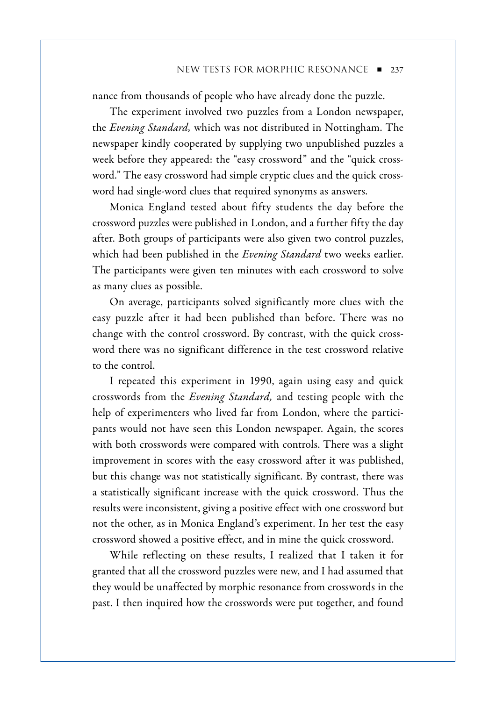nance from thousands of people who have already done the puzzle.

The experiment involved two puzzles from a London newspaper, the *Evening Standard,* which was not distributed in Nottingham. The newspaper kindly cooperated by supplying two unpublished puzzles a week before they appeared: the "easy crossword" and the "quick crossword." The easy crossword had simple cryptic clues and the quick crossword had single-word clues that required synonyms as answers.

Monica England tested about fifty students the day before the crossword puzzles were published in London, and a further fifty the day after. Both groups of participants were also given two control puzzles, which had been published in the *Evening Standard* two weeks earlier. The participants were given ten minutes with each crossword to solve as many clues as possible.

On average, participants solved significantly more clues with the easy puzzle after it had been published than before. There was no change with the control crossword. By contrast, with the quick crossword there was no significant difference in the test crossword relative to the control.

I repeated this experiment in 1990, again using easy and quick crosswords from the *Evening Standard,* and testing people with the help of experimenters who lived far from London, where the participants would not have seen this London newspaper. Again, the scores with both crosswords were compared with controls. There was a slight improvement in scores with the easy crossword after it was published, but this change was not statistically significant. By contrast, there was a statistically significant increase with the quick crossword. Thus the results were inconsistent, giving a positive effect with one crossword but not the other, as in Monica England's experiment. In her test the easy crossword showed a positive effect, and in mine the quick crossword.

While reflecting on these results, I realized that I taken it for granted that all the crossword puzzles were new, and I had assumed that they would be unaffected by morphic resonance from crosswords in the past. I then inquired how the crosswords were put together, and found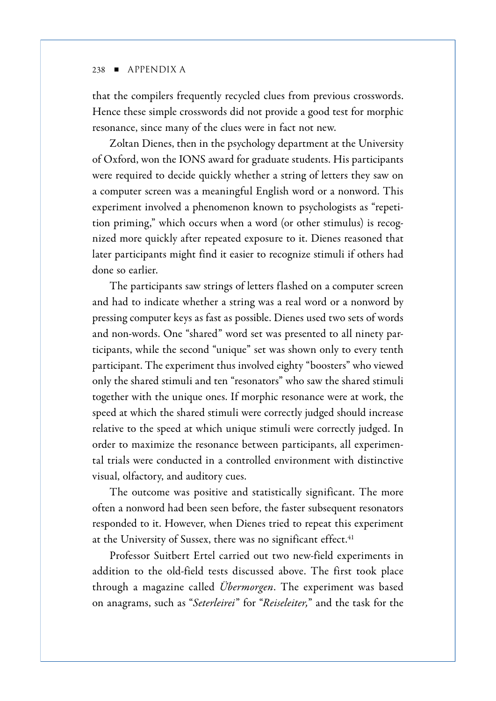that the compilers frequently recycled clues from previous crosswords. Hence these simple crosswords did not provide a good test for morphic resonance, since many of the clues were in fact not new.

Zoltan Dienes, then in the psychology department at the University of Oxford, won the IONS award for graduate students. His participants were required to decide quickly whether a string of letters they saw on a computer screen was a meaningful English word or a nonword. This experiment involved a phenomenon known to psychologists as "repetition priming," which occurs when a word (or other stimulus) is recognized more quickly after repeated exposure to it. Dienes reasoned that later participants might find it easier to recognize stimuli if others had done so earlier.

The participants saw strings of letters flashed on a computer screen and had to indicate whether a string was a real word or a nonword by pressing computer keys as fast as possible. Dienes used two sets of words and non-words. One "shared" word set was presented to all ninety participants, while the second "unique" set was shown only to every tenth participant. The experiment thus involved eighty "boosters" who viewed only the shared stimuli and ten "resonators" who saw the shared stimuli together with the unique ones. If morphic resonance were at work, the speed at which the shared stimuli were correctly judged should increase relative to the speed at which unique stimuli were correctly judged. In order to maximize the resonance between participants, all experimental trials were conducted in a controlled environment with distinctive visual, olfactory, and auditory cues.

The outcome was positive and statistically significant. The more often a nonword had been seen before, the faster subsequent resonators responded to it. However, when Dienes tried to repeat this experiment at the University of Sussex, there was no significant effect.<sup>41</sup>

Professor Suitbert Ertel carried out two new-field experiments in addition to the old-field tests discussed above. The first took place through a magazine called *Übermorgen*. The experiment was based on anagrams, such as "*Seterleirei*" for "*Reiseleiter,*" and the task for the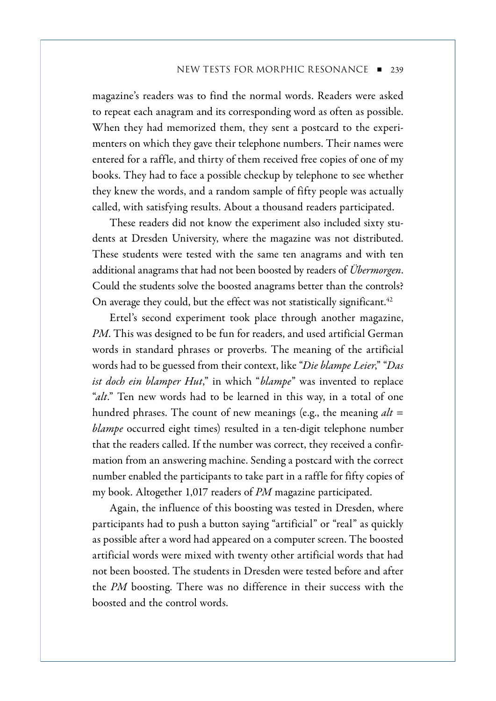magazine's readers was to find the normal words. Readers were asked to repeat each anagram and its corresponding word as often as possible. When they had memorized them, they sent a postcard to the experimenters on which they gave their telephone numbers. Their names were entered for a raffle, and thirty of them received free copies of one of my books. They had to face a possible checkup by telephone to see whether they knew the words, and a random sample of fifty people was actually called, with satisfying results. About a thousand readers participated.

These readers did not know the experiment also included sixty students at Dresden University, where the magazine was not distributed. These students were tested with the same ten anagrams and with ten additional anagrams that had not been boosted by readers of *Übermorgen*. Could the students solve the boosted anagrams better than the controls? On average they could, but the effect was not statistically significant.<sup>42</sup>

Ertel's second experiment took place through another magazine, *PM*. This was designed to be fun for readers, and used artificial German words in standard phrases or proverbs. The meaning of the artificial words had to be guessed from their context, like "*Die blampe Leier*," "*Das ist doch ein blamper Hut*," in which "*blampe*" was invented to replace "*alt*." Ten new words had to be learned in this way, in a total of one hundred phrases. The count of new meanings (e.g., the meaning *alt* = *blampe* occurred eight times) resulted in a ten-digit telephone number that the readers called. If the number was correct, they received a confirmation from an answering machine. Sending a postcard with the correct number enabled the participants to take part in a raffle for fifty copies of my book. Altogether 1,017 readers of *PM* magazine participated.

Again, the influence of this boosting was tested in Dresden, where participants had to push a button saying "artificial" or "real" as quickly as possible after a word had appeared on a computer screen. The boosted artificial words were mixed with twenty other artificial words that had not been boosted. The students in Dresden were tested before and after the *PM* boosting. There was no difference in their success with the boosted and the control words.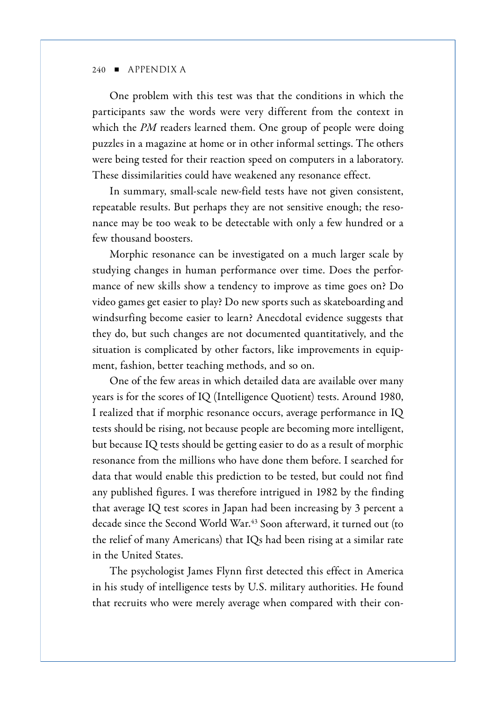One problem with this test was that the conditions in which the participants saw the words were very different from the context in which the *PM* readers learned them. One group of people were doing puzzles in a magazine at home or in other informal settings. The others were being tested for their reaction speed on computers in a laboratory. These dissimilarities could have weakened any resonance effect.

In summary, small-scale new-field tests have not given consistent, repeatable results. But perhaps they are not sensitive enough; the resonance may be too weak to be detectable with only a few hundred or a few thousand boosters.

Morphic resonance can be investigated on a much larger scale by studying changes in human performance over time. Does the performance of new skills show a tendency to improve as time goes on? Do video games get easier to play? Do new sports such as skateboarding and windsurfing become easier to learn? Anecdotal evidence suggests that they do, but such changes are not documented quantitatively, and the situation is complicated by other factors, like improvements in equipment, fashion, better teaching methods, and so on.

One of the few areas in which detailed data are available over many years is for the scores of IQ (Intelligence Quotient) tests. Around 1980, I realized that if morphic resonance occurs, average performance in IQ tests should be rising, not because people are becoming more intelligent, but because IQ tests should be getting easier to do as a result of morphic resonance from the millions who have done them before. I searched for data that would enable this prediction to be tested, but could not find any published figures. I was therefore intrigued in 1982 by the finding that average IQ test scores in Japan had been increasing by 3 percent a decade since the Second World War.<sup>43</sup> Soon afterward, it turned out (to the relief of many Americans) that IQs had been rising at a similar rate in the United States.

The psychologist James Flynn first detected this effect in America in his study of intelligence tests by U.S. military authorities. He found that recruits who were merely average when compared with their con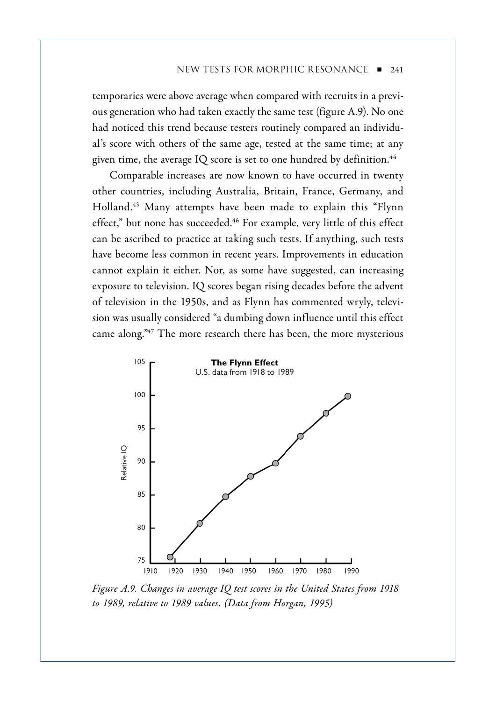temporaries were above average when compared with recruits in a previous generation who had taken exactly the same test (figure A.9). No one had noticed this trend because testers routinely compared an individual's score with others of the same age, tested at the same time; at any given time, the average IQ score is set to one hundred by definition.<sup>44</sup>

Comparable increases are now known to have occurred in twenty other countries, including Australia, Britain, France, Germany, and Holland.45 Many attempts have been made to explain this "Flynn effect," but none has succeeded.<sup>46</sup> For example, very little of this effect can be ascribed to practice at taking such tests. If anything, such tests have become less common in recent years. Improvements in education cannot explain it either. Nor, as some have suggested, can increasing exposure to television. IQ scores began rising decades before the advent of television in the 1950s, and as Flynn has commented wryly, television was usually considered "a dumbing down influence until this effect came along."47 The more research there has been, the more mysterious



*Figure A.9. Changes in average IQ test scores in the United States from 1918*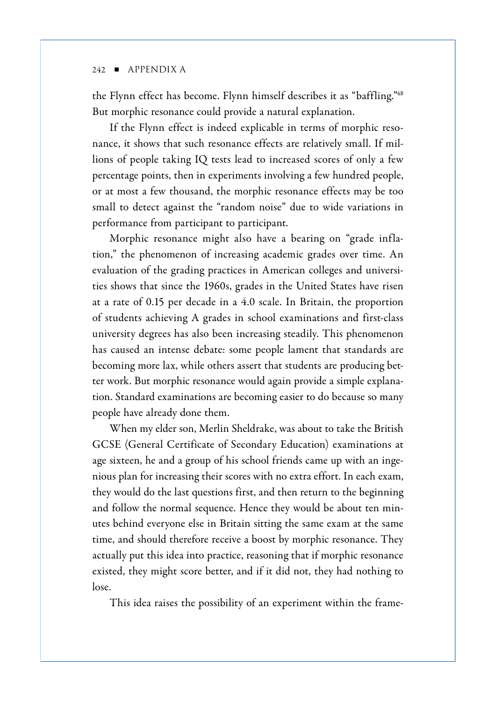the Flynn effect has become. Flynn himself describes it as "baffling."48 But morphic resonance could provide a natural explanation.

If the Flynn effect is indeed explicable in terms of morphic resonance, it shows that such resonance effects are relatively small. If millions of people taking IQ tests lead to increased scores of only a few percentage points, then in experiments involving a few hundred people, or at most a few thousand, the morphic resonance effects may be too small to detect against the "random noise" due to wide variations in performance from participant to participant.

Morphic resonance might also have a bearing on "grade inflation," the phenomenon of increasing academic grades over time. An evaluation of the grading practices in American colleges and universities shows that since the 1960s, grades in the United States have risen at a rate of 0.15 per decade in a 4.0 scale. In Britain, the proportion of students achieving A grades in school examinations and first-class university degrees has also been increasing steadily. This phenomenon has caused an intense debate: some people lament that standards are becoming more lax, while others assert that students are producing better work. But morphic resonance would again provide a simple explanation. Standard examinations are becoming easier to do because so many people have already done them.

When my elder son, Merlin Sheldrake, was about to take the British GCSE (General Certificate of Secondary Education) examinations at age sixteen, he and a group of his school friends came up with an ingenious plan for increasing their scores with no extra effort. In each exam, they would do the last questions first, and then return to the beginning and follow the normal sequence. Hence they would be about ten minutes behind everyone else in Britain sitting the same exam at the same time, and should therefore receive a boost by morphic resonance. They actually put this idea into practice, reasoning that if morphic resonance existed, they might score better, and if it did not, they had nothing to lose.

This idea raises the possibility of an experiment within the frame-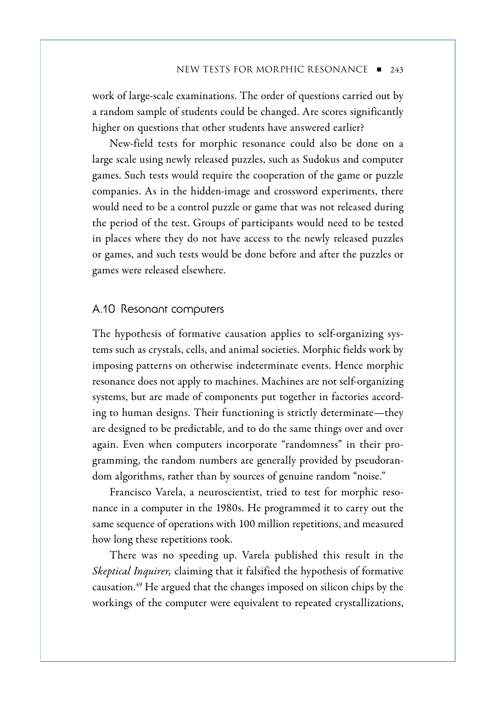work of large-scale examinations. The order of questions carried out by a random sample of students could be changed. Are scores significantly higher on questions that other students have answered earlier?

New-field tests for morphic resonance could also be done on a large scale using newly released puzzles, such as Sudokus and computer games. Such tests would require the cooperation of the game or puzzle companies. As in the hidden-image and crossword experiments, there would need to be a control puzzle or game that was not released during the period of the test. Groups of participants would need to be tested in places where they do not have access to the newly released puzzles or games, and such tests would be done before and after the puzzles or games were released elsewhere.

# A.10 Resonant computers

The hypothesis of formative causation applies to self-organizing systems such as crystals, cells, and animal societies. Morphic fields work by imposing patterns on otherwise indeterminate events. Hence morphic resonance does not apply to machines. Machines are not self-organizing systems, but are made of components put together in factories according to human designs. Their functioning is strictly determinate—they are designed to be predictable, and to do the same things over and over again. Even when computers incorporate "randomness" in their programming, the random numbers are generally provided by pseudorandom algorithms, rather than by sources of genuine random "noise."

Francisco Varela, a neuroscientist, tried to test for morphic resonance in a computer in the 1980s. He programmed it to carry out the same sequence of operations with 100 million repetitions, and measured how long these repetitions took.

There was no speeding up. Varela published this result in the *Skeptical Inquirer,* claiming that it falsified the hypothesis of formative causation.49 He argued that the changes imposed on silicon chips by the workings of the computer were equivalent to repeated crystallizations,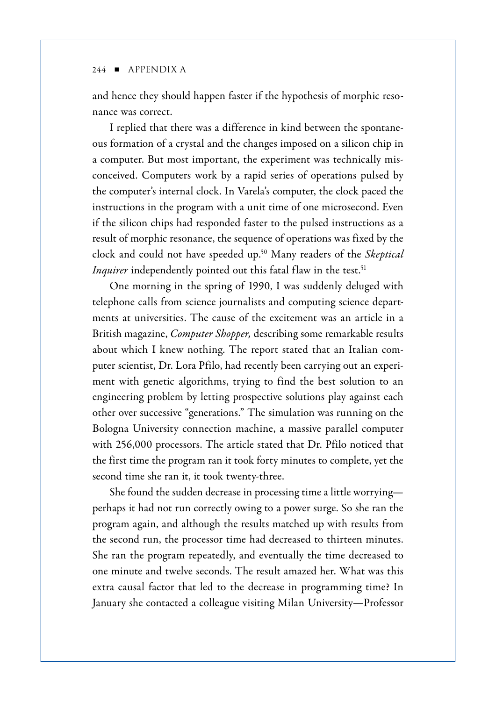and hence they should happen faster if the hypothesis of morphic resonance was correct.

I replied that there was a difference in kind between the spontaneous formation of a crystal and the changes imposed on a silicon chip in a computer. But most important, the experiment was technically misconceived. Computers work by a rapid series of operations pulsed by the computer's internal clock. In Varela's computer, the clock paced the instructions in the program with a unit time of one microsecond. Even if the silicon chips had responded faster to the pulsed instructions as a result of morphic resonance, the sequence of operations was fixed by the clock and could not have speeded up.50 Many readers of the *Skeptical Inquirer* independently pointed out this fatal flaw in the test.<sup>51</sup>

One morning in the spring of 1990, I was suddenly deluged with telephone calls from science journalists and computing science departments at universities. The cause of the excitement was an article in a British magazine, *Computer Shopper,* describing some remarkable results about which I knew nothing. The report stated that an Italian computer scientist, Dr. Lora Pfilo, had recently been carrying out an experiment with genetic algorithms, trying to find the best solution to an engineering problem by letting prospective solutions play against each other over successive "generations." The simulation was running on the Bologna University connection machine, a massive parallel computer with 256,000 processors. The article stated that Dr. Pfilo noticed that the first time the program ran it took forty minutes to complete, yet the second time she ran it, it took twenty-three.

She found the sudden decrease in processing time a little worrying perhaps it had not run correctly owing to a power surge. So she ran the program again, and although the results matched up with results from the second run, the processor time had decreased to thirteen minutes. She ran the program repeatedly, and eventually the time decreased to one minute and twelve seconds. The result amazed her. What was this extra causal factor that led to the decrease in programming time? In January she contacted a colleague visiting Milan University—Professor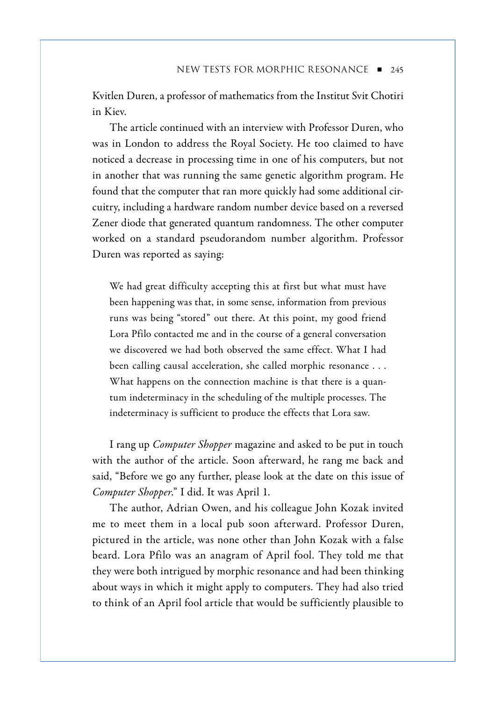Kvitlen Duren, a professor of mathematics from the Institut Svit Chotiri in Kiev.

The article continued with an interview with Professor Duren, who was in London to address the Royal Society. He too claimed to have noticed a decrease in processing time in one of his computers, but not in another that was running the same genetic algorithm program. He found that the computer that ran more quickly had some additional circuitry, including a hardware random number device based on a reversed Zener diode that generated quantum randomness. The other computer worked on a standard pseudorandom number algorithm. Professor Duren was reported as saying:

We had great difficulty accepting this at first but what must have been happening was that, in some sense, information from previous runs was being "stored" out there. At this point, my good friend Lora Pfilo contacted me and in the course of a general conversation we discovered we had both observed the same effect. What I had been calling causal acceleration, she called morphic resonance . . . What happens on the connection machine is that there is a quantum indeterminacy in the scheduling of the multiple processes. The indeterminacy is sufficient to produce the effects that Lora saw.

I rang up *Computer Shopper* magazine and asked to be put in touch with the author of the article. Soon afterward, he rang me back and said, "Before we go any further, please look at the date on this issue of *Computer Shopper*." I did. It was April 1.

The author, Adrian Owen, and his colleague John Kozak invited me to meet them in a local pub soon afterward. Professor Duren, pictured in the article, was none other than John Kozak with a false beard. Lora Pfilo was an anagram of April fool. They told me that they were both intrigued by morphic resonance and had been thinking about ways in which it might apply to computers. They had also tried to think of an April fool article that would be sufficiently plausible to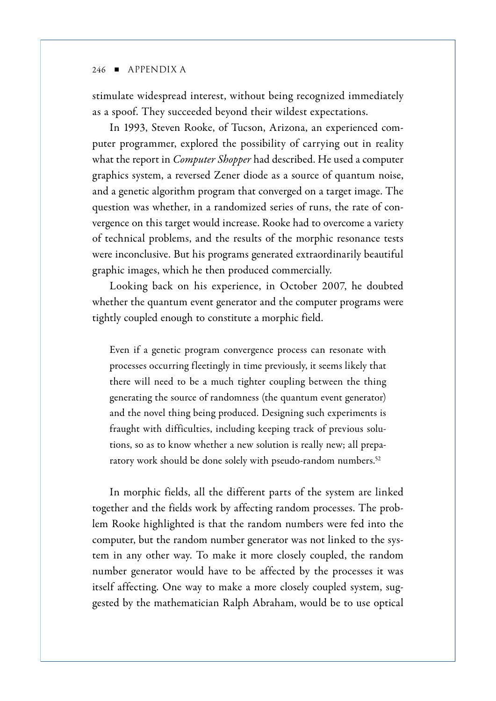stimulate widespread interest, without being recognized immediately as a spoof. They succeeded beyond their wildest expectations.

In 1993, Steven Rooke, of Tucson, Arizona, an experienced computer programmer, explored the possibility of carrying out in reality what the report in *Computer Shopper* had described. He used a computer graphics system, a reversed Zener diode as a source of quantum noise, and a genetic algorithm program that converged on a target image. The question was whether, in a randomized series of runs, the rate of convergence on this target would increase. Rooke had to overcome a variety of technical problems, and the results of the morphic resonance tests were inconclusive. But his programs generated extraordinarily beautiful graphic images, which he then produced commercially.

Looking back on his experience, in October 2007, he doubted whether the quantum event generator and the computer programs were tightly coupled enough to constitute a morphic field.

Even if a genetic program convergence process can resonate with processes occurring fleetingly in time previously, it seems likely that there will need to be a much tighter coupling between the thing generating the source of randomness (the quantum event generator) and the novel thing being produced. Designing such experiments is fraught with difficulties, including keeping track of previous solutions, so as to know whether a new solution is really new; all preparatory work should be done solely with pseudo-random numbers.<sup>52</sup>

In morphic fields, all the different parts of the system are linked together and the fields work by affecting random processes. The problem Rooke highlighted is that the random numbers were fed into the computer, but the random number generator was not linked to the system in any other way. To make it more closely coupled, the random number generator would have to be affected by the processes it was itself affecting. One way to make a more closely coupled system, suggested by the mathematician Ralph Abraham, would be to use optical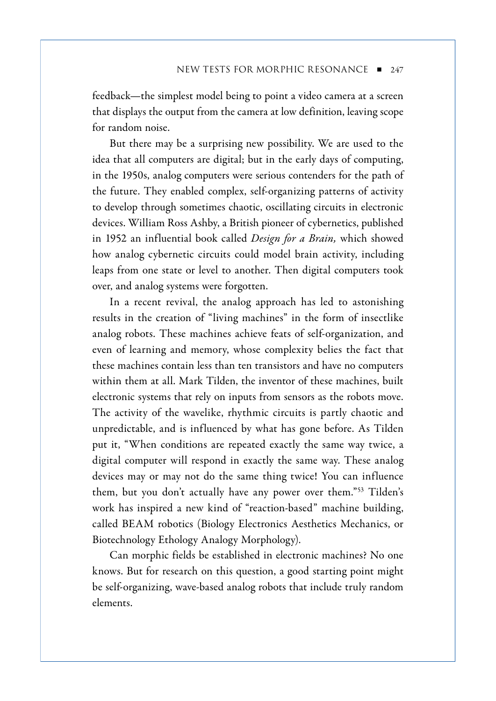feedback—the simplest model being to point a video camera at a screen that displays the output from the camera at low definition, leaving scope for random noise.

But there may be a surprising new possibility. We are used to the idea that all computers are digital; but in the early days of computing, in the 1950s, analog computers were serious contenders for the path of the future. They enabled complex, self-organizing patterns of activity to develop through sometimes chaotic, oscillating circuits in electronic devices. William Ross Ashby, a British pioneer of cybernetics, published in 1952 an influential book called *Design for a Brain,* which showed how analog cybernetic circuits could model brain activity, including leaps from one state or level to another. Then digital computers took over, and analog systems were forgotten.

In a recent revival, the analog approach has led to astonishing results in the creation of "living machines" in the form of insectlike analog robots. These machines achieve feats of self-organization, and even of learning and memory, whose complexity belies the fact that these machines contain less than ten transistors and have no computers within them at all. Mark Tilden, the inventor of these machines, built electronic systems that rely on inputs from sensors as the robots move. The activity of the wavelike, rhythmic circuits is partly chaotic and unpredictable, and is influenced by what has gone before. As Tilden put it, "When conditions are repeated exactly the same way twice, a digital computer will respond in exactly the same way. These analog devices may or may not do the same thing twice! You can influence them, but you don't actually have any power over them."53 Tilden's work has inspired a new kind of "reaction-based" machine building, called BEAM robotics (Biology Electronics Aesthetics Mechanics, or Biotechnology Ethology Analogy Morphology).

Can morphic fields be established in electronic machines? No one knows. But for research on this question, a good starting point might be self-organizing, wave-based analog robots that include truly random elements.